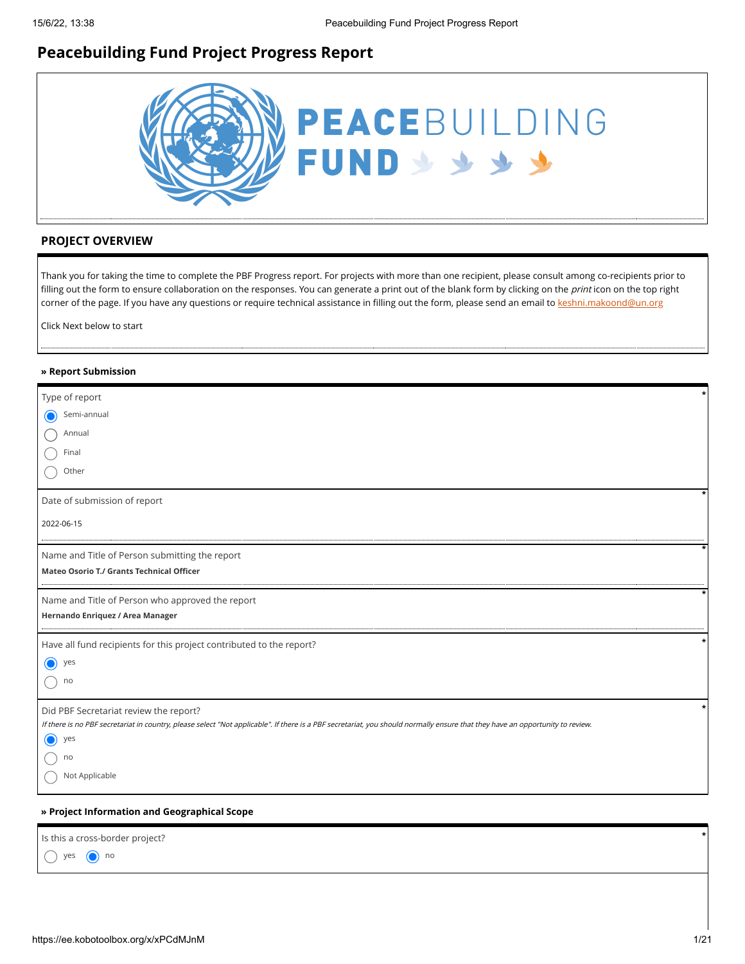# **Peacebuilding Fund Project Progress Report**



# **PROJECT OVERVIEW**

Thank you for taking the time to complete the PBF Progress report. For projects with more than one recipient, please consult among co-recipients prior to filling out the form to ensure collaboration on the responses. You can generate a print out of the blank form by clicking on the print icon on the top right corner of the page. If you have any questions or require technical assistance in filling out the form, please send an email to [keshni.makoond@un.org](https://ee.kobotoolbox.org/x/keshni.makoond@un.org)

Click Next below to start

#### **» Report Submission**

| Type of report                                                                                                                                                                |
|-------------------------------------------------------------------------------------------------------------------------------------------------------------------------------|
| Semi-annual<br>$\bf O$                                                                                                                                                        |
| Annual                                                                                                                                                                        |
| Final                                                                                                                                                                         |
| Other                                                                                                                                                                         |
| Date of submission of report                                                                                                                                                  |
| 2022-06-15                                                                                                                                                                    |
| Name and Title of Person submitting the report                                                                                                                                |
| Mateo Osorio T./ Grants Technical Officer                                                                                                                                     |
| Name and Title of Person who approved the report                                                                                                                              |
| Hernando Enriquez / Area Manager                                                                                                                                              |
| Have all fund recipients for this project contributed to the report?                                                                                                          |
| ∩<br>yes                                                                                                                                                                      |
| no                                                                                                                                                                            |
| Did PBF Secretariat review the report?                                                                                                                                        |
| If there is no PBF secretariat in country, please select "Not applicable". If there is a PBF secretariat, you should normally ensure that they have an opportunity to review. |
| $\bigcirc$<br>yes                                                                                                                                                             |
| no                                                                                                                                                                            |
| Not Applicable                                                                                                                                                                |
|                                                                                                                                                                               |

### **» Project Information and Geographical Scope**

| Is this a cross-border project? |  |
|---------------------------------|--|
| $\bigcirc$ yes $\bigcirc$ no    |  |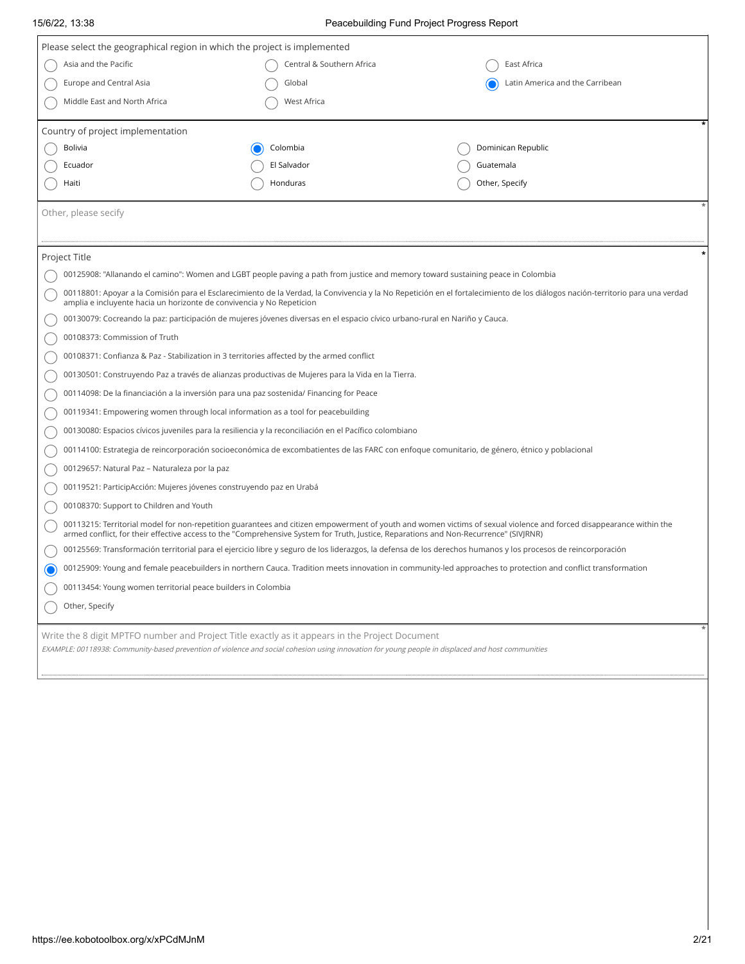# 15/6/22, 13:38 Peacebuilding Fund Project Progress Report

| Please select the geographical region in which the project is implemented                                                                                                                                                                           |                                                                                         |                                                                                                                                                                                |  |  |  |  |
|-----------------------------------------------------------------------------------------------------------------------------------------------------------------------------------------------------------------------------------------------------|-----------------------------------------------------------------------------------------|--------------------------------------------------------------------------------------------------------------------------------------------------------------------------------|--|--|--|--|
| Asia and the Pacific                                                                                                                                                                                                                                |                                                                                         | East Africa                                                                                                                                                                    |  |  |  |  |
|                                                                                                                                                                                                                                                     | Central & Southern Africa                                                               |                                                                                                                                                                                |  |  |  |  |
| Europe and Central Asia                                                                                                                                                                                                                             | Global                                                                                  | Latin America and the Carribean                                                                                                                                                |  |  |  |  |
| Middle East and North Africa                                                                                                                                                                                                                        | West Africa                                                                             |                                                                                                                                                                                |  |  |  |  |
| Country of project implementation                                                                                                                                                                                                                   |                                                                                         |                                                                                                                                                                                |  |  |  |  |
| Bolivia                                                                                                                                                                                                                                             | Colombia                                                                                | Dominican Republic                                                                                                                                                             |  |  |  |  |
| Ecuador                                                                                                                                                                                                                                             | El Salvador                                                                             | Guatemala                                                                                                                                                                      |  |  |  |  |
| Haiti                                                                                                                                                                                                                                               | Honduras                                                                                | Other, Specify                                                                                                                                                                 |  |  |  |  |
|                                                                                                                                                                                                                                                     |                                                                                         |                                                                                                                                                                                |  |  |  |  |
| Other, please secify                                                                                                                                                                                                                                |                                                                                         |                                                                                                                                                                                |  |  |  |  |
|                                                                                                                                                                                                                                                     |                                                                                         |                                                                                                                                                                                |  |  |  |  |
| Project Title                                                                                                                                                                                                                                       |                                                                                         |                                                                                                                                                                                |  |  |  |  |
| 00125908: "Allanando el camino": Women and LGBT people paving a path from justice and memory toward sustaining peace in Colombia                                                                                                                    |                                                                                         |                                                                                                                                                                                |  |  |  |  |
| amplia e incluyente hacia un horizonte de convivencia y No Repeticion                                                                                                                                                                               |                                                                                         | 00118801: Apoyar a la Comisión para el Esclarecimiento de la Verdad, la Convivencia y la No Repetición en el fortalecimiento de los diálogos nación-territorio para una verdad |  |  |  |  |
| 00130079: Cocreando la paz: participación de mujeres jóvenes diversas en el espacio cívico urbano-rural en Nariño y Cauca.                                                                                                                          |                                                                                         |                                                                                                                                                                                |  |  |  |  |
| 00108373: Commission of Truth                                                                                                                                                                                                                       |                                                                                         |                                                                                                                                                                                |  |  |  |  |
| 00108371: Confianza & Paz - Stabilization in 3 territories affected by the armed conflict                                                                                                                                                           |                                                                                         |                                                                                                                                                                                |  |  |  |  |
| 00130501: Construyendo Paz a través de alianzas productivas de Mujeres para la Vida en la Tierra.                                                                                                                                                   |                                                                                         |                                                                                                                                                                                |  |  |  |  |
|                                                                                                                                                                                                                                                     | 00114098: De la financiación a la inversión para una paz sostenida/ Financing for Peace |                                                                                                                                                                                |  |  |  |  |
| 00119341: Empowering women through local information as a tool for peacebuilding                                                                                                                                                                    |                                                                                         |                                                                                                                                                                                |  |  |  |  |
| 00130080: Espacios cívicos juveniles para la resiliencia y la reconciliación en el Pacífico colombiano                                                                                                                                              |                                                                                         |                                                                                                                                                                                |  |  |  |  |
|                                                                                                                                                                                                                                                     |                                                                                         | 00114100: Estrategia de reincorporación socioeconómica de excombatientes de las FARC con enfoque comunitario, de género, étnico y poblacional                                  |  |  |  |  |
| 00129657: Natural Paz - Naturaleza por la paz                                                                                                                                                                                                       |                                                                                         |                                                                                                                                                                                |  |  |  |  |
| 00119521: ParticipAcción: Mujeres jóvenes construyendo paz en Urabá                                                                                                                                                                                 |                                                                                         |                                                                                                                                                                                |  |  |  |  |
| 00108370: Support to Children and Youth                                                                                                                                                                                                             |                                                                                         |                                                                                                                                                                                |  |  |  |  |
| armed conflict, for their effective access to the "Comprehensive System for Truth, Justice, Reparations and Non-Recurrence" (SIVJRNR)                                                                                                               |                                                                                         | 00113215: Territorial model for non-repetition guarantees and citizen empowerment of youth and women victims of sexual violence and forced disappearance within the            |  |  |  |  |
|                                                                                                                                                                                                                                                     |                                                                                         | 00125569: Transformación territorial para el ejercicio libre y seguro de los liderazgos, la defensa de los derechos humanos y los procesos de reincorporación                  |  |  |  |  |
| 00125909: Young and female peacebuilders in northern Cauca. Tradition meets innovation in community-led approaches to protection and conflict transformation                                                                                        |                                                                                         |                                                                                                                                                                                |  |  |  |  |
| 00113454: Young women territorial peace builders in Colombia                                                                                                                                                                                        |                                                                                         |                                                                                                                                                                                |  |  |  |  |
| Other, Specify                                                                                                                                                                                                                                      |                                                                                         |                                                                                                                                                                                |  |  |  |  |
|                                                                                                                                                                                                                                                     |                                                                                         |                                                                                                                                                                                |  |  |  |  |
| Write the 8 digit MPTFO number and Project Title exactly as it appears in the Project Document<br>EXAMPLE: 00118938: Community-based prevention of violence and social cohesion using innovation for young people in displaced and host communities |                                                                                         |                                                                                                                                                                                |  |  |  |  |
|                                                                                                                                                                                                                                                     |                                                                                         |                                                                                                                                                                                |  |  |  |  |
|                                                                                                                                                                                                                                                     |                                                                                         |                                                                                                                                                                                |  |  |  |  |
|                                                                                                                                                                                                                                                     |                                                                                         |                                                                                                                                                                                |  |  |  |  |
|                                                                                                                                                                                                                                                     |                                                                                         |                                                                                                                                                                                |  |  |  |  |
|                                                                                                                                                                                                                                                     |                                                                                         |                                                                                                                                                                                |  |  |  |  |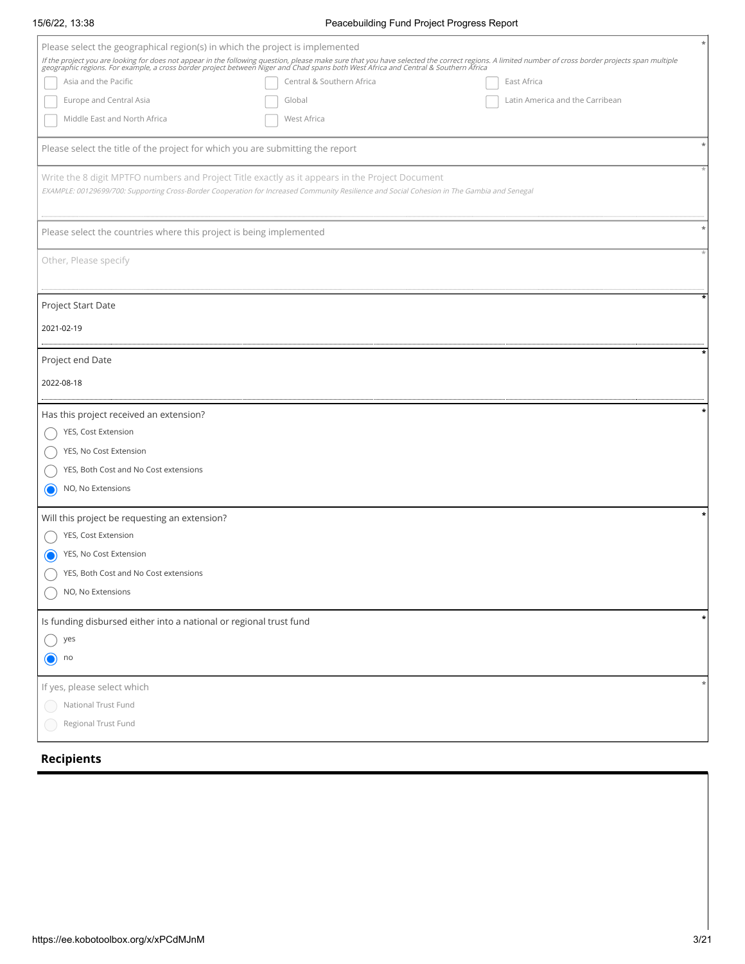#### 15/6/22, 13:38 Peacebuilding Fund Project Progress Report

| Please select the geographical region(s) in which the project is implemented<br>If the project you are looking for does not appear in the following question, please make sure that you have selected the correct regions. A limited number of cross border projects span multiple<br>geographic regions. For exa<br>Asia and the Pacific<br>Central & Southern Africa<br>East Africa<br>Europe and Central Asia<br>Latin America and the Carribean<br>Global<br>Middle East and North Africa<br>West Africa<br>Please select the title of the project for which you are submitting the report<br>Write the 8 digit MPTFO numbers and Project Title exactly as it appears in the Project Document<br>EXAMPLE: 00129699/700: Supporting Cross-Border Cooperation for Increased Community Resilience and Social Cohesion in The Gambia and Senegal<br>Please select the countries where this project is being implemented<br>Other, Please specify<br>Project Start Date<br>2021-02-19<br>Project end Date<br>2022-08-18<br>Has this project received an extension?<br>YES, Cost Extension<br>YES, No Cost Extension<br>YES, Both Cost and No Cost extensions<br>NO, No Extensions |
|----------------------------------------------------------------------------------------------------------------------------------------------------------------------------------------------------------------------------------------------------------------------------------------------------------------------------------------------------------------------------------------------------------------------------------------------------------------------------------------------------------------------------------------------------------------------------------------------------------------------------------------------------------------------------------------------------------------------------------------------------------------------------------------------------------------------------------------------------------------------------------------------------------------------------------------------------------------------------------------------------------------------------------------------------------------------------------------------------------------------------------------------------------------------------------|
|                                                                                                                                                                                                                                                                                                                                                                                                                                                                                                                                                                                                                                                                                                                                                                                                                                                                                                                                                                                                                                                                                                                                                                                  |
|                                                                                                                                                                                                                                                                                                                                                                                                                                                                                                                                                                                                                                                                                                                                                                                                                                                                                                                                                                                                                                                                                                                                                                                  |
|                                                                                                                                                                                                                                                                                                                                                                                                                                                                                                                                                                                                                                                                                                                                                                                                                                                                                                                                                                                                                                                                                                                                                                                  |
|                                                                                                                                                                                                                                                                                                                                                                                                                                                                                                                                                                                                                                                                                                                                                                                                                                                                                                                                                                                                                                                                                                                                                                                  |
|                                                                                                                                                                                                                                                                                                                                                                                                                                                                                                                                                                                                                                                                                                                                                                                                                                                                                                                                                                                                                                                                                                                                                                                  |
|                                                                                                                                                                                                                                                                                                                                                                                                                                                                                                                                                                                                                                                                                                                                                                                                                                                                                                                                                                                                                                                                                                                                                                                  |
|                                                                                                                                                                                                                                                                                                                                                                                                                                                                                                                                                                                                                                                                                                                                                                                                                                                                                                                                                                                                                                                                                                                                                                                  |
|                                                                                                                                                                                                                                                                                                                                                                                                                                                                                                                                                                                                                                                                                                                                                                                                                                                                                                                                                                                                                                                                                                                                                                                  |
|                                                                                                                                                                                                                                                                                                                                                                                                                                                                                                                                                                                                                                                                                                                                                                                                                                                                                                                                                                                                                                                                                                                                                                                  |
|                                                                                                                                                                                                                                                                                                                                                                                                                                                                                                                                                                                                                                                                                                                                                                                                                                                                                                                                                                                                                                                                                                                                                                                  |
|                                                                                                                                                                                                                                                                                                                                                                                                                                                                                                                                                                                                                                                                                                                                                                                                                                                                                                                                                                                                                                                                                                                                                                                  |
|                                                                                                                                                                                                                                                                                                                                                                                                                                                                                                                                                                                                                                                                                                                                                                                                                                                                                                                                                                                                                                                                                                                                                                                  |
|                                                                                                                                                                                                                                                                                                                                                                                                                                                                                                                                                                                                                                                                                                                                                                                                                                                                                                                                                                                                                                                                                                                                                                                  |
|                                                                                                                                                                                                                                                                                                                                                                                                                                                                                                                                                                                                                                                                                                                                                                                                                                                                                                                                                                                                                                                                                                                                                                                  |
|                                                                                                                                                                                                                                                                                                                                                                                                                                                                                                                                                                                                                                                                                                                                                                                                                                                                                                                                                                                                                                                                                                                                                                                  |
|                                                                                                                                                                                                                                                                                                                                                                                                                                                                                                                                                                                                                                                                                                                                                                                                                                                                                                                                                                                                                                                                                                                                                                                  |
|                                                                                                                                                                                                                                                                                                                                                                                                                                                                                                                                                                                                                                                                                                                                                                                                                                                                                                                                                                                                                                                                                                                                                                                  |
|                                                                                                                                                                                                                                                                                                                                                                                                                                                                                                                                                                                                                                                                                                                                                                                                                                                                                                                                                                                                                                                                                                                                                                                  |
|                                                                                                                                                                                                                                                                                                                                                                                                                                                                                                                                                                                                                                                                                                                                                                                                                                                                                                                                                                                                                                                                                                                                                                                  |
|                                                                                                                                                                                                                                                                                                                                                                                                                                                                                                                                                                                                                                                                                                                                                                                                                                                                                                                                                                                                                                                                                                                                                                                  |
|                                                                                                                                                                                                                                                                                                                                                                                                                                                                                                                                                                                                                                                                                                                                                                                                                                                                                                                                                                                                                                                                                                                                                                                  |
|                                                                                                                                                                                                                                                                                                                                                                                                                                                                                                                                                                                                                                                                                                                                                                                                                                                                                                                                                                                                                                                                                                                                                                                  |
|                                                                                                                                                                                                                                                                                                                                                                                                                                                                                                                                                                                                                                                                                                                                                                                                                                                                                                                                                                                                                                                                                                                                                                                  |
|                                                                                                                                                                                                                                                                                                                                                                                                                                                                                                                                                                                                                                                                                                                                                                                                                                                                                                                                                                                                                                                                                                                                                                                  |
|                                                                                                                                                                                                                                                                                                                                                                                                                                                                                                                                                                                                                                                                                                                                                                                                                                                                                                                                                                                                                                                                                                                                                                                  |
|                                                                                                                                                                                                                                                                                                                                                                                                                                                                                                                                                                                                                                                                                                                                                                                                                                                                                                                                                                                                                                                                                                                                                                                  |
|                                                                                                                                                                                                                                                                                                                                                                                                                                                                                                                                                                                                                                                                                                                                                                                                                                                                                                                                                                                                                                                                                                                                                                                  |
| Will this project be requesting an extension?                                                                                                                                                                                                                                                                                                                                                                                                                                                                                                                                                                                                                                                                                                                                                                                                                                                                                                                                                                                                                                                                                                                                    |
| YES, Cost Extension                                                                                                                                                                                                                                                                                                                                                                                                                                                                                                                                                                                                                                                                                                                                                                                                                                                                                                                                                                                                                                                                                                                                                              |
| YES, No Cost Extension                                                                                                                                                                                                                                                                                                                                                                                                                                                                                                                                                                                                                                                                                                                                                                                                                                                                                                                                                                                                                                                                                                                                                           |
| YES, Both Cost and No Cost extensions                                                                                                                                                                                                                                                                                                                                                                                                                                                                                                                                                                                                                                                                                                                                                                                                                                                                                                                                                                                                                                                                                                                                            |
| NO, No Extensions                                                                                                                                                                                                                                                                                                                                                                                                                                                                                                                                                                                                                                                                                                                                                                                                                                                                                                                                                                                                                                                                                                                                                                |
| Is funding disbursed either into a national or regional trust fund                                                                                                                                                                                                                                                                                                                                                                                                                                                                                                                                                                                                                                                                                                                                                                                                                                                                                                                                                                                                                                                                                                               |
| yes                                                                                                                                                                                                                                                                                                                                                                                                                                                                                                                                                                                                                                                                                                                                                                                                                                                                                                                                                                                                                                                                                                                                                                              |
| no<br>$\mathbf{O}$                                                                                                                                                                                                                                                                                                                                                                                                                                                                                                                                                                                                                                                                                                                                                                                                                                                                                                                                                                                                                                                                                                                                                               |
| If yes, please select which                                                                                                                                                                                                                                                                                                                                                                                                                                                                                                                                                                                                                                                                                                                                                                                                                                                                                                                                                                                                                                                                                                                                                      |
|                                                                                                                                                                                                                                                                                                                                                                                                                                                                                                                                                                                                                                                                                                                                                                                                                                                                                                                                                                                                                                                                                                                                                                                  |
| National Trust Fund                                                                                                                                                                                                                                                                                                                                                                                                                                                                                                                                                                                                                                                                                                                                                                                                                                                                                                                                                                                                                                                                                                                                                              |
| Regional Trust Fund                                                                                                                                                                                                                                                                                                                                                                                                                                                                                                                                                                                                                                                                                                                                                                                                                                                                                                                                                                                                                                                                                                                                                              |

**Recipients**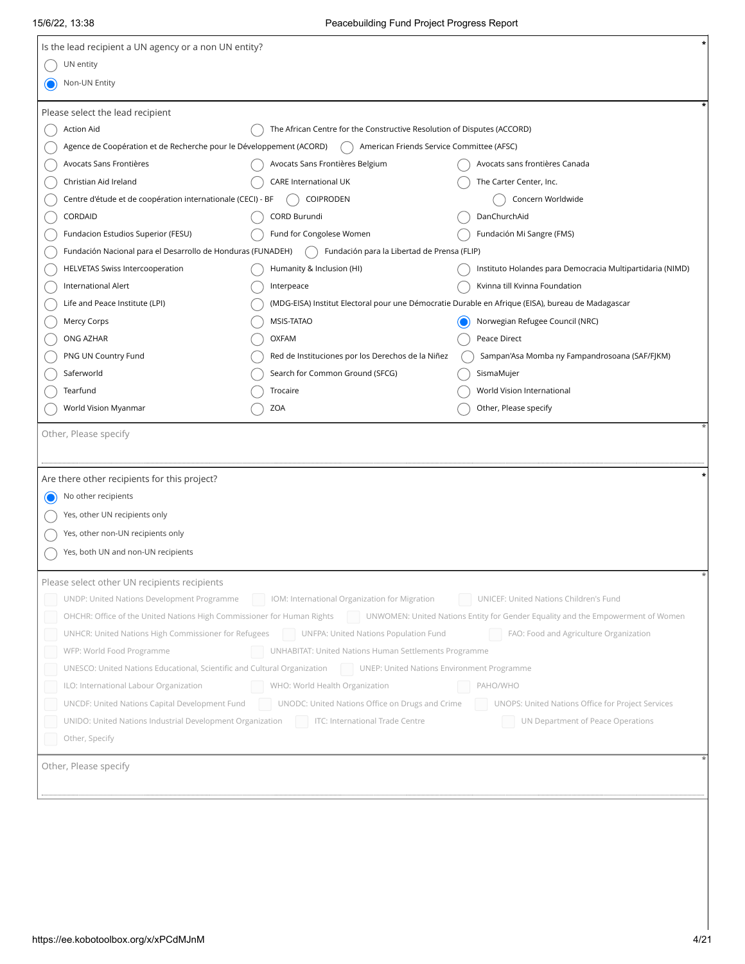| Is the lead recipient a UN agency or a non UN entity?<br>UN entity                                                                                            |                                                                                                   |
|---------------------------------------------------------------------------------------------------------------------------------------------------------------|---------------------------------------------------------------------------------------------------|
|                                                                                                                                                               |                                                                                                   |
|                                                                                                                                                               |                                                                                                   |
| Non-UN Entity                                                                                                                                                 |                                                                                                   |
| Please select the lead recipient                                                                                                                              |                                                                                                   |
| <b>Action Aid</b><br>The African Centre for the Constructive Resolution of Disputes (ACCORD)                                                                  |                                                                                                   |
| Agence de Coopération et de Recherche pour le Développement (ACORD)<br>American Friends Service Committee (AFSC)                                              |                                                                                                   |
| Avocats Sans Frontières<br>Avocats Sans Frontières Belgium                                                                                                    | Avocats sans frontières Canada                                                                    |
| Christian Aid Ireland<br>CARE International UK                                                                                                                | The Carter Center, Inc.                                                                           |
| COIPRODEN<br>Centre d'étude et de coopération internationale (CECI) - BF                                                                                      | Concern Worldwide                                                                                 |
| CORDAID<br>CORD Burundi                                                                                                                                       | DanChurchAid                                                                                      |
| Fundacion Estudios Superior (FESU)<br>Fund for Congolese Women                                                                                                | Fundación Mi Sangre (FMS)                                                                         |
| Fundación Nacional para el Desarrollo de Honduras (FUNADEH)<br>Fundación para la Libertad de Prensa (FLIP)                                                    |                                                                                                   |
| <b>HELVETAS Swiss Intercooperation</b><br>Humanity & Inclusion (HI)                                                                                           | Instituto Holandes para Democracia Multipartidaria (NIMD)                                         |
| International Alert<br>Interpeace                                                                                                                             | Kvinna till Kvinna Foundation                                                                     |
| Life and Peace Institute (LPI)                                                                                                                                | (MDG-EISA) Institut Electoral pour une Démocratie Durable en Afrique (EISA), bureau de Madagascar |
| MSIS-TATAO<br>Mercy Corps                                                                                                                                     | Norwegian Refugee Council (NRC)                                                                   |
| <b>OXFAM</b><br>ONG AZHAR                                                                                                                                     | Peace Direct                                                                                      |
| Red de Instituciones por los Derechos de la Niñez<br>PNG UN Country Fund                                                                                      | Sampan'Asa Momba ny Fampandrosoana (SAF/FJKM)                                                     |
| Saferworld<br>Search for Common Ground (SFCG)                                                                                                                 | SismaMujer                                                                                        |
| Tearfund<br>Trocaire                                                                                                                                          | World Vision International                                                                        |
| World Vision Myanmar<br>ZOA                                                                                                                                   | Other, Please specify                                                                             |
| Yes, other UN recipients only                                                                                                                                 |                                                                                                   |
| Yes, other non-UN recipients only                                                                                                                             |                                                                                                   |
|                                                                                                                                                               |                                                                                                   |
| Yes, both UN and non-UN recipients                                                                                                                            |                                                                                                   |
|                                                                                                                                                               |                                                                                                   |
| Please select other UN recipients recipients                                                                                                                  |                                                                                                   |
| UNDP: United Nations Development Programme<br>IOM: International Organization for Migration UNICEF: United Nations Children's Fund                            |                                                                                                   |
| OHCHR: Office of the United Nations High Commissioner for Human Rights Nations Entity for Gender Equality and the Empowerment of Women                        |                                                                                                   |
| UNHCR: United Nations High Commissioner for Refugees   UNFPA: United Nations Population Fund                                                                  | FAO: Food and Agriculture Organization                                                            |
| UNHABITAT: United Nations Human Settlements Programme<br>WFP: World Food Programme                                                                            |                                                                                                   |
| UNESCO: United Nations Educational, Scientific and Cultural Organization UNEP: United Nations Environment Programme<br>ILO: International Labour Organization | PAHO/WHO                                                                                          |
| WHO: World Health Organization<br>UNCDF: United Nations Capital Development Fund                                                                              | UNOPS: United Nations Office for Project Services                                                 |
| UNODC: United Nations Office on Drugs and Crime<br>UNIDO: United Nations Industrial Development Organization   ITC: International Trade Centre                | UN Department of Peace Operations                                                                 |
| Other, Specify                                                                                                                                                |                                                                                                   |
|                                                                                                                                                               |                                                                                                   |
| Other, Please specify                                                                                                                                         |                                                                                                   |
|                                                                                                                                                               |                                                                                                   |
|                                                                                                                                                               |                                                                                                   |
|                                                                                                                                                               |                                                                                                   |
|                                                                                                                                                               |                                                                                                   |
|                                                                                                                                                               |                                                                                                   |
|                                                                                                                                                               |                                                                                                   |
|                                                                                                                                                               |                                                                                                   |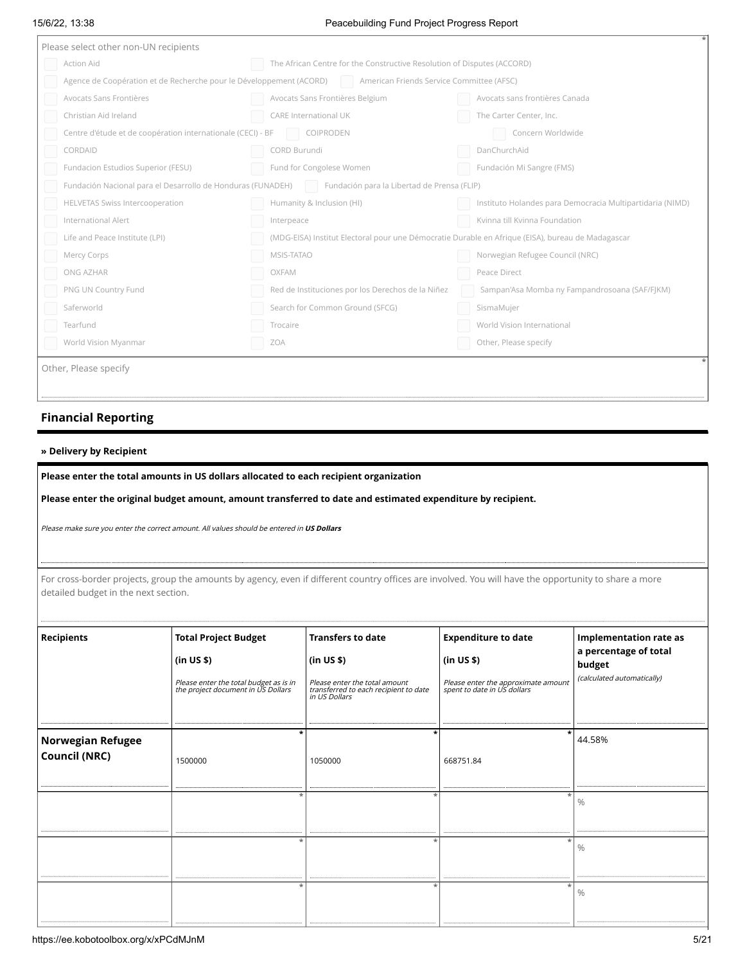#### 15/6/22, 13:38 Peacebuilding Fund Project Progress Report

| Please select other non-UN recipients |                                                                                                               |                                                                                                   |                                                           |  |  |
|---------------------------------------|---------------------------------------------------------------------------------------------------------------|---------------------------------------------------------------------------------------------------|-----------------------------------------------------------|--|--|
|                                       | Action Aid                                                                                                    | The African Centre for the Constructive Resolution of Disputes (ACCORD)                           |                                                           |  |  |
|                                       | Agence de Coopération et de Recherche pour le Développement (ACORD) American Friends Service Committee (AFSC) |                                                                                                   |                                                           |  |  |
|                                       | Avocats Sans Frontières                                                                                       | Avocats Sans Frontières Belgium                                                                   | Avocats sans frontières Canada                            |  |  |
|                                       | Christian Aid Ireland                                                                                         | CARE International UK                                                                             | The Carter Center, Inc.                                   |  |  |
|                                       | Centre d'étude et de coopération internationale (CECI) - BF                                                   | COIPRODEN                                                                                         | Concern Worldwide                                         |  |  |
|                                       | CORDAID                                                                                                       | CORD Burundi                                                                                      | DanChurchAid                                              |  |  |
|                                       | Fundacion Estudios Superior (FESU)                                                                            | Fund for Congolese Women                                                                          | Fundación Mi Sangre (FMS)                                 |  |  |
|                                       | Fundación Nacional para el Desarrollo de Honduras (FUNADEH)                                                   | Fundación para la Libertad de Prensa (FLIP)                                                       |                                                           |  |  |
|                                       | <b>HELVETAS Swiss Intercooperation</b>                                                                        | Humanity & Inclusion (HI)                                                                         | Instituto Holandes para Democracia Multipartidaria (NIMD) |  |  |
|                                       | International Alert                                                                                           | Interpeace                                                                                        | Kvinna till Kvinna Foundation                             |  |  |
|                                       | Life and Peace Institute (LPI)                                                                                | (MDG-EISA) Institut Electoral pour une Démocratie Durable en Afrique (EISA), bureau de Madagascar |                                                           |  |  |
|                                       | Mercy Corps                                                                                                   | MSIS-TATAO                                                                                        | Norwegian Refugee Council (NRC)                           |  |  |
|                                       | ONG AZHAR                                                                                                     | OXFAM                                                                                             | Peace Direct                                              |  |  |
|                                       | PNG UN Country Fund                                                                                           | Red de Instituciones por los Derechos de la Niñez                                                 | Sampan'Asa Momba ny Fampandrosoana (SAF/FJKM)             |  |  |
|                                       | Saferworld                                                                                                    | Search for Common Ground (SFCG)                                                                   | SismaMujer                                                |  |  |
|                                       | Tearfund                                                                                                      | Trocaire                                                                                          | World Vision International                                |  |  |
|                                       | World Vision Myanmar                                                                                          | ZOA                                                                                               | Other, Please specify                                     |  |  |
|                                       | Other, Please specify                                                                                         |                                                                                                   |                                                           |  |  |
|                                       |                                                                                                               |                                                                                                   |                                                           |  |  |
|                                       |                                                                                                               |                                                                                                   |                                                           |  |  |

# **Financial Reporting**

#### **» Delivery by Recipient**

**Please enter the total amounts in US dollars allocated to each recipient organization**

**Please enter the original budget amount, amount transferred to date and estimated expenditure by recipient.**

Please make sure you enter the correct amount. All values should be entered in **US Dollars**

detailed budget in the next section.

| detailed budget in the next section.      |                                                                                                                    |                                                                                                                                   | For cross-border projects, group the amounts by agency, even if different country offices are involved. You will have the opportunity to share a more |                                                                                                 |
|-------------------------------------------|--------------------------------------------------------------------------------------------------------------------|-----------------------------------------------------------------------------------------------------------------------------------|-------------------------------------------------------------------------------------------------------------------------------------------------------|-------------------------------------------------------------------------------------------------|
| Recipients                                | Total Project Budget<br>(in US \$)<br>Please enter the total budget as is in<br>the project document in US Dollars | <b>Transfers to date</b><br>(in US \$)<br>Please enter the total amount<br>transferred to each recipient to date<br>in US Dollars | <b>Expenditure to date</b><br>(in US \$)<br>Please enter the approximate amount<br>spent to date in US dollars                                        | Implementation rate as<br>$\vert$ a percentage of total<br>budget<br>(calculated automatically) |
| <b>Norwegian Refugee</b><br>Council (NRC) | 1500000                                                                                                            | 1050000                                                                                                                           | 668751.84                                                                                                                                             | 44.58%                                                                                          |
|                                           |                                                                                                                    |                                                                                                                                   |                                                                                                                                                       |                                                                                                 |
|                                           |                                                                                                                    |                                                                                                                                   |                                                                                                                                                       |                                                                                                 |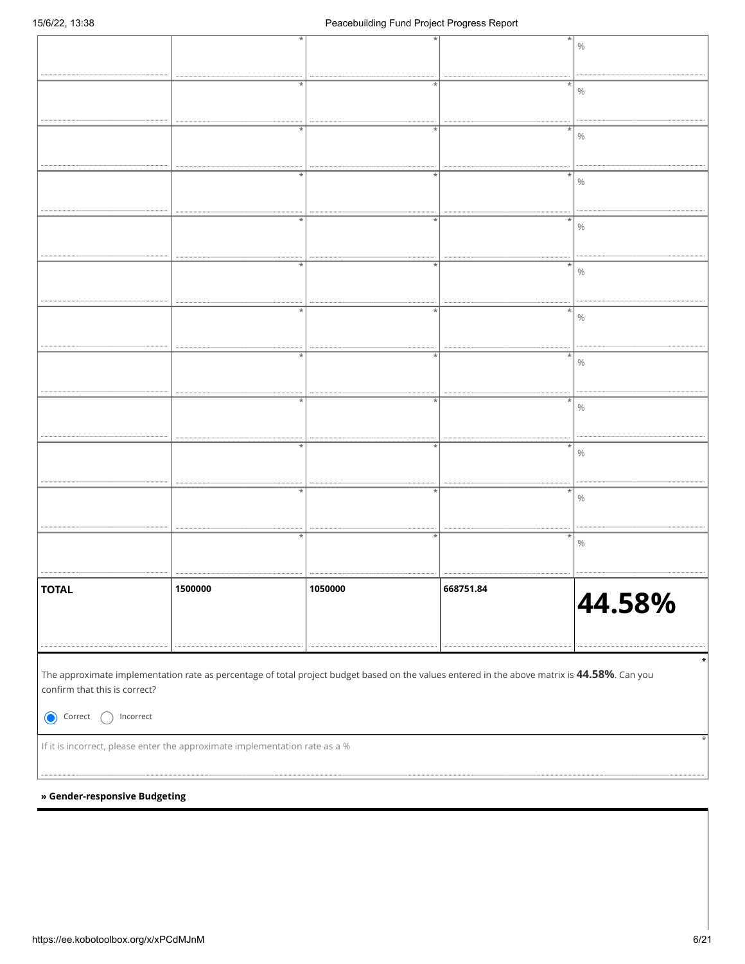|                                                                                                                                                                                                                                                                                                                                                                                                                                                                                                                                                                                                                                                                                                                                                                                                                                                                                                                                                                                                                                                                                                                                            |                                                                             |         |           | $\%$   |  |  |  |
|--------------------------------------------------------------------------------------------------------------------------------------------------------------------------------------------------------------------------------------------------------------------------------------------------------------------------------------------------------------------------------------------------------------------------------------------------------------------------------------------------------------------------------------------------------------------------------------------------------------------------------------------------------------------------------------------------------------------------------------------------------------------------------------------------------------------------------------------------------------------------------------------------------------------------------------------------------------------------------------------------------------------------------------------------------------------------------------------------------------------------------------------|-----------------------------------------------------------------------------|---------|-----------|--------|--|--|--|
|                                                                                                                                                                                                                                                                                                                                                                                                                                                                                                                                                                                                                                                                                                                                                                                                                                                                                                                                                                                                                                                                                                                                            |                                                                             |         |           | $\%$   |  |  |  |
|                                                                                                                                                                                                                                                                                                                                                                                                                                                                                                                                                                                                                                                                                                                                                                                                                                                                                                                                                                                                                                                                                                                                            |                                                                             |         |           |        |  |  |  |
|                                                                                                                                                                                                                                                                                                                                                                                                                                                                                                                                                                                                                                                                                                                                                                                                                                                                                                                                                                                                                                                                                                                                            |                                                                             |         |           | $\%$   |  |  |  |
|                                                                                                                                                                                                                                                                                                                                                                                                                                                                                                                                                                                                                                                                                                                                                                                                                                                                                                                                                                                                                                                                                                                                            |                                                                             |         |           |        |  |  |  |
|                                                                                                                                                                                                                                                                                                                                                                                                                                                                                                                                                                                                                                                                                                                                                                                                                                                                                                                                                                                                                                                                                                                                            | $^\star$                                                                    |         |           | $\%$   |  |  |  |
|                                                                                                                                                                                                                                                                                                                                                                                                                                                                                                                                                                                                                                                                                                                                                                                                                                                                                                                                                                                                                                                                                                                                            |                                                                             |         |           | $\%$   |  |  |  |
|                                                                                                                                                                                                                                                                                                                                                                                                                                                                                                                                                                                                                                                                                                                                                                                                                                                                                                                                                                                                                                                                                                                                            | $\star$                                                                     | ÷       | $\star$   | $\%$   |  |  |  |
|                                                                                                                                                                                                                                                                                                                                                                                                                                                                                                                                                                                                                                                                                                                                                                                                                                                                                                                                                                                                                                                                                                                                            |                                                                             |         |           | $\%$   |  |  |  |
|                                                                                                                                                                                                                                                                                                                                                                                                                                                                                                                                                                                                                                                                                                                                                                                                                                                                                                                                                                                                                                                                                                                                            |                                                                             |         |           |        |  |  |  |
|                                                                                                                                                                                                                                                                                                                                                                                                                                                                                                                                                                                                                                                                                                                                                                                                                                                                                                                                                                                                                                                                                                                                            | *                                                                           |         |           | $\%$   |  |  |  |
|                                                                                                                                                                                                                                                                                                                                                                                                                                                                                                                                                                                                                                                                                                                                                                                                                                                                                                                                                                                                                                                                                                                                            | $\star$                                                                     |         |           | $\%$   |  |  |  |
|                                                                                                                                                                                                                                                                                                                                                                                                                                                                                                                                                                                                                                                                                                                                                                                                                                                                                                                                                                                                                                                                                                                                            |                                                                             |         |           |        |  |  |  |
|                                                                                                                                                                                                                                                                                                                                                                                                                                                                                                                                                                                                                                                                                                                                                                                                                                                                                                                                                                                                                                                                                                                                            | $\star$                                                                     |         |           | $\%$   |  |  |  |
| $\ast$<br>$\%$                                                                                                                                                                                                                                                                                                                                                                                                                                                                                                                                                                                                                                                                                                                                                                                                                                                                                                                                                                                                                                                                                                                             |                                                                             |         |           |        |  |  |  |
| $\%$                                                                                                                                                                                                                                                                                                                                                                                                                                                                                                                                                                                                                                                                                                                                                                                                                                                                                                                                                                                                                                                                                                                                       |                                                                             |         |           |        |  |  |  |
| <b>TOTAL</b>                                                                                                                                                                                                                                                                                                                                                                                                                                                                                                                                                                                                                                                                                                                                                                                                                                                                                                                                                                                                                                                                                                                               | 1500000                                                                     | 1050000 | 668751.84 | 44.58% |  |  |  |
| The approximate implementation rate as percentage of total project budget based on the values entered in the above matrix is 44.58%. Can you<br>confirm that this is correct?                                                                                                                                                                                                                                                                                                                                                                                                                                                                                                                                                                                                                                                                                                                                                                                                                                                                                                                                                              |                                                                             |         |           |        |  |  |  |
| Correct<br>$In correct% \begin{center} \includegraphics[width=0.6\textwidth]{figures/cdf} \end{center} \caption{The average frequency of the number of times, and the average frequency of the number of times. The average probability of the number of times, and the average probability of the number of times. The average probability of the number of times, and the average probability of the number of times. The average probability of the number of times, and the average probability of the number of times. The average probability of the number of times, and the average probability of the number of times. The average probability of the number of times, and the average probability of the number of times. The average probability of the number of times, and the average probability of the number of times. The average probability of the number of times, and the average probability of the number of times. The average probability of the number of times, and the average probability of the number of times. The average probability of the number of times, and the average probability of the number$ |                                                                             |         |           |        |  |  |  |
|                                                                                                                                                                                                                                                                                                                                                                                                                                                                                                                                                                                                                                                                                                                                                                                                                                                                                                                                                                                                                                                                                                                                            |                                                                             |         |           |        |  |  |  |
|                                                                                                                                                                                                                                                                                                                                                                                                                                                                                                                                                                                                                                                                                                                                                                                                                                                                                                                                                                                                                                                                                                                                            | If it is incorrect, please enter the approximate implementation rate as a % |         |           |        |  |  |  |
|                                                                                                                                                                                                                                                                                                                                                                                                                                                                                                                                                                                                                                                                                                                                                                                                                                                                                                                                                                                                                                                                                                                                            |                                                                             |         |           |        |  |  |  |
| » Gender-responsive Budgeting                                                                                                                                                                                                                                                                                                                                                                                                                                                                                                                                                                                                                                                                                                                                                                                                                                                                                                                                                                                                                                                                                                              |                                                                             |         |           |        |  |  |  |
|                                                                                                                                                                                                                                                                                                                                                                                                                                                                                                                                                                                                                                                                                                                                                                                                                                                                                                                                                                                                                                                                                                                                            |                                                                             |         |           |        |  |  |  |
|                                                                                                                                                                                                                                                                                                                                                                                                                                                                                                                                                                                                                                                                                                                                                                                                                                                                                                                                                                                                                                                                                                                                            |                                                                             |         |           |        |  |  |  |
|                                                                                                                                                                                                                                                                                                                                                                                                                                                                                                                                                                                                                                                                                                                                                                                                                                                                                                                                                                                                                                                                                                                                            |                                                                             |         |           |        |  |  |  |
|                                                                                                                                                                                                                                                                                                                                                                                                                                                                                                                                                                                                                                                                                                                                                                                                                                                                                                                                                                                                                                                                                                                                            |                                                                             |         |           |        |  |  |  |

#### **» Gender-responsive Budgeting**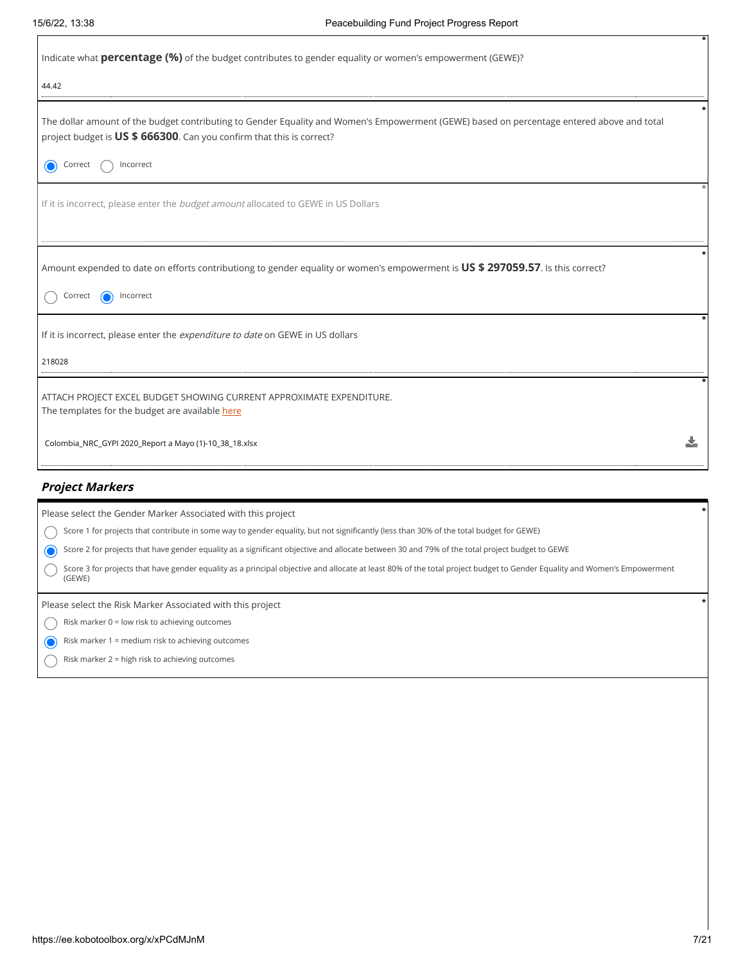| Indicate what <b>percentage (%)</b> of the budget contributes to gender equality or women's empowerment (GEWE)?                                                                                                     |  |
|---------------------------------------------------------------------------------------------------------------------------------------------------------------------------------------------------------------------|--|
| 44.42                                                                                                                                                                                                               |  |
| The dollar amount of the budget contributing to Gender Equality and Women's Empowerment (GEWE) based on percentage entered above and total<br>project budget is US \$ 666300. Can you confirm that this is correct? |  |
| $\bullet$<br>Correct<br>Incorrect                                                                                                                                                                                   |  |
| If it is incorrect, please enter the <i>budget amount</i> allocated to GEWE in US Dollars                                                                                                                           |  |
| Amount expended to date on efforts contributiong to gender equality or women's empowerment is US \$ 297059.57. Is this correct?<br>Incorrect<br>Correct                                                             |  |
| If it is incorrect, please enter the expenditure to date on GEWE in US dollars                                                                                                                                      |  |
| 218028                                                                                                                                                                                                              |  |
| ATTACH PROJECT EXCEL BUDGET SHOWING CURRENT APPROXIMATE EXPENDITURE.<br>The templates for the budget are available here                                                                                             |  |
| Colombia_NRC_GYPI 2020_Report a Mayo (1)-10_38_18.xlsx                                                                                                                                                              |  |

# **Project Markers**

| Please select the Gender Marker Associated with this project                                                                                                                       |  |
|------------------------------------------------------------------------------------------------------------------------------------------------------------------------------------|--|
| Score 1 for projects that contribute in some way to gender equality, but not significantly (less than 30% of the total budget for GEWE)                                            |  |
| Score 2 for projects that have gender equality as a significant objective and allocate between 30 and 79% of the total project budget to GEWE                                      |  |
| Score 3 for projects that have gender equality as a principal objective and allocate at least 80% of the total project budget to Gender Equality and Women's Empowerment<br>(GEWE) |  |
|                                                                                                                                                                                    |  |
| Please select the Risk Marker Associated with this project                                                                                                                         |  |
| Risk marker 0 = low risk to achieving outcomes                                                                                                                                     |  |
| Risk marker 1 = medium risk to achieving outcomes                                                                                                                                  |  |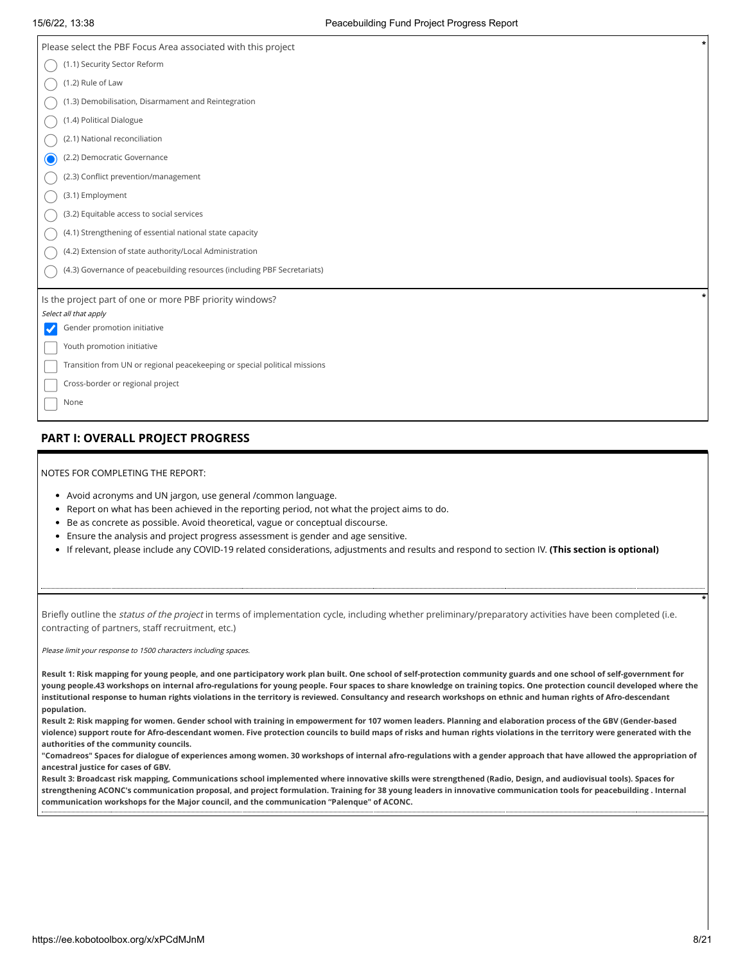| Please select the PBF Focus Area associated with this project             |  |
|---------------------------------------------------------------------------|--|
| (1.1) Security Sector Reform                                              |  |
| (1.2) Rule of Law                                                         |  |
| (1.3) Demobilisation, Disarmament and Reintegration                       |  |
| (1.4) Political Dialogue                                                  |  |
| (2.1) National reconciliation                                             |  |
| (2.2) Democratic Governance<br>0                                          |  |
| (2.3) Conflict prevention/management                                      |  |
| (3.1) Employment                                                          |  |
| (3.2) Equitable access to social services                                 |  |
| (4.1) Strengthening of essential national state capacity                  |  |
| (4.2) Extension of state authority/Local Administration                   |  |
| (4.3) Governance of peacebuilding resources (including PBF Secretariats)  |  |
|                                                                           |  |
| Is the project part of one or more PBF priority windows?                  |  |
| Select all that apply                                                     |  |
| Gender promotion initiative<br>$\checkmark$                               |  |
| Youth promotion initiative                                                |  |
| Transition from UN or regional peacekeeping or special political missions |  |
| Cross-border or regional project                                          |  |
| None                                                                      |  |

# **PART I: OVERALL PROJECT PROGRESS**

| NOTES FOR COMPLETING THE REPORT: |  |
|----------------------------------|--|
|                                  |  |

- Avoid acronyms and UN jargon, use general /common language.
- Report on what has been achieved in the reporting period, not what the project aims to do.
- Be as concrete as possible. Avoid theoretical, vague or conceptual discourse.
- Ensure the analysis and project progress assessment is gender and age sensitive.
- If relevant, please include any COVID-19 related considerations, adjustments and results and respond to section IV. **(This section is optional)**

Briefly outline the status of the project in terms of implementation cycle, including whether preliminary/preparatory activities have been completed (i.e. contracting of partners, staff recruitment, etc.)

Please limit your response to 1500 characters including spaces.

**Result 1: Risk mapping for young people, and one participatory work plan built. One school of self-protection community guards and one school of self-government for young people.43 workshops on internal afro-regulations for young people. Four spaces to share knowledge on training topics. One protection council developed where the institutional response to human rights violations in the territory is reviewed. Consultancy and research workshops on ethnic and human rights of Afro-descendant population.** 

**Result 2: Risk mapping for women. Gender school with training in empowerment for 107 women leaders. Planning and elaboration process of the GBV (Gender-based violence) support route for Afro-descendant women. Five protection councils to build maps of risks and human rights violations in the territory were generated with the authorities of the community councils.** 

**"Comadreos" Spaces for dialogue of experiences among women. 30 workshops of internal afro-regulations with a gender approach that have allowed the appropriation of ancestral justice for cases of GBV.** 

**Result 3: Broadcast risk mapping, Communications school implemented where innovative skills were strengthened (Radio, Design, and audiovisual tools). Spaces for strengthening ACONC's communication proposal, and project formulation. Training for 38 young leaders in innovative communication tools for peacebuilding . Internal communication workshops for the Major council, and the communication "Palenque" of ACONC.**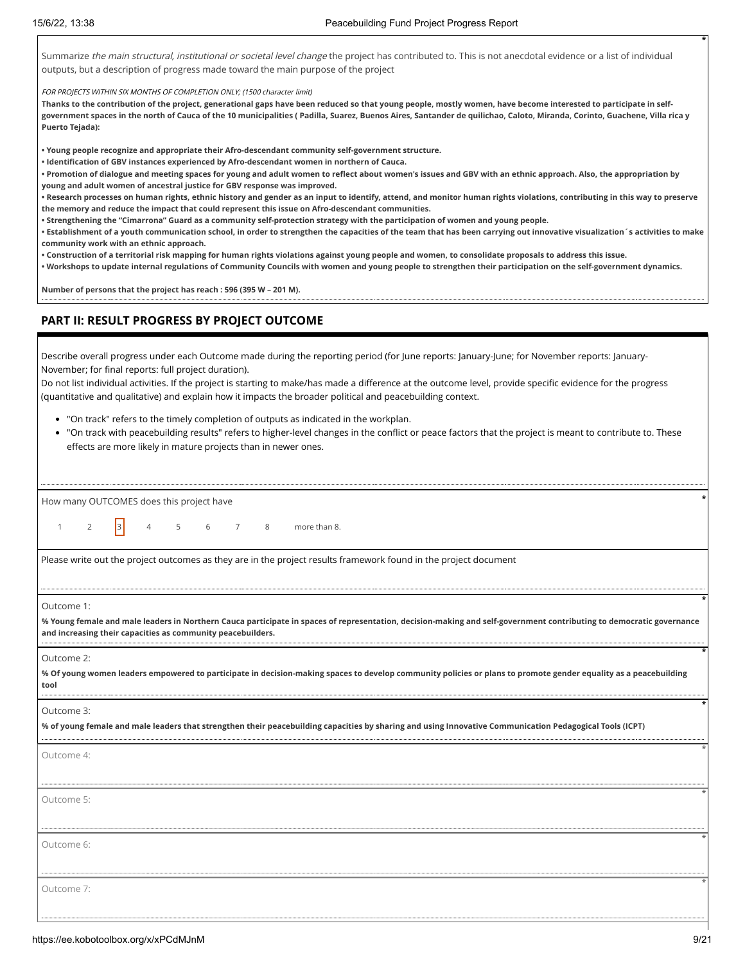Summarize the main structural, institutional or societal level change the project has contributed to. This is not anecdotal evidence or a list of individual outputs, but a description of progress made toward the main purpose of the project

FOR PROJECTS WITHIN SIX MONTHS OF COMPLETION ONLY; (1500 character limit)

**Thanks to the contribution of the project, generational gaps have been reduced so that young people, mostly women, have become interested to participate in selfgovernment spaces in the north of Cauca of the 10 municipalities ( Padilla, Suarez, Buenos Aires, Santander de quilichao, Caloto, Miranda, Corinto, Guachene, Villa rica y Puerto Tejada):**

**• Young people recognize and appropriate their Afro-descendant community self-government structure.** 

**• Identification of GBV instances experienced by Afro-descendant women in northern of Cauca.**

**• Promotion of dialogue and meeting spaces for young and adult women to reflect about women's issues and GBV with an ethnic approach. Also, the appropriation by young and adult women of ancestral justice for GBV response was improved.** 

**• Research processes on human rights, ethnic history and gender as an input to identify, attend, and monitor human rights violations, contributing in this way to preserve the memory and reduce the impact that could represent this issue on Afro-descendant communities.** 

**• Strengthening the "Cimarrona" Guard as a community self-protection strategy with the participation of women and young people.** 

**• Establishment of a youth communication school, in order to strengthen the capacities of the team that has been carrying out innovative visualization´s activities to make community work with an ethnic approach.** 

**• Construction of a territorial risk mapping for human rights violations against young people and women, to consolidate proposals to address this issue.** 

**• Workshops to update internal regulations of Community Councils with women and young people to strengthen their participation on the self-government dynamics.**

**Number of persons that the project has reach : 596 (395 W – 201 M).**

#### **PART II: RESULT PROGRESS BY PROJECT OUTCOME**

Describe overall progress under each Outcome made during the reporting period (for June reports: January-June; for November reports: January-November; for final reports: full project duration).

Do not list individual activities. If the project is starting to make/has made a difference at the outcome level, provide specific evidence for the progress (quantitative and qualitative) and explain how it impacts the broader political and peacebuilding context.

- "On track" refers to the timely completion of outputs as indicated in the workplan.
- "On track with peacebuilding results" refers to higher-level changes in the conflict or peace factors that the project is meant to contribute to. These effects are more likely in mature projects than in newer ones.

| How many OUTCOMES does this project have                                                                                                                                                                                                          |
|---------------------------------------------------------------------------------------------------------------------------------------------------------------------------------------------------------------------------------------------------|
| 2 $3 \t 4 \t 5 \t 6 \t 7 \t 8 \t more than 8.$<br>$\mathbf{1}$                                                                                                                                                                                    |
| Please write out the project outcomes as they are in the project results framework found in the project document                                                                                                                                  |
| Outcome 1:<br>% Young female and male leaders in Northern Cauca participate in spaces of representation, decision-making and self-government contributing to democratic governance<br>and increasing their capacities as community peacebuilders. |
| Outcome 2:<br>% Of young women leaders empowered to participate in decision-making spaces to develop community policies or plans to promote gender equality as a peacebuilding<br>tool                                                            |
| Outcome 3:<br>% of young female and male leaders that strengthen their peacebuilding capacities by sharing and using Innovative Communication Pedagogical Tools (ICPT)                                                                            |
| Outcome 4:                                                                                                                                                                                                                                        |
| Outcome 5:                                                                                                                                                                                                                                        |
| Outcome 6:                                                                                                                                                                                                                                        |
| Outcome 7:                                                                                                                                                                                                                                        |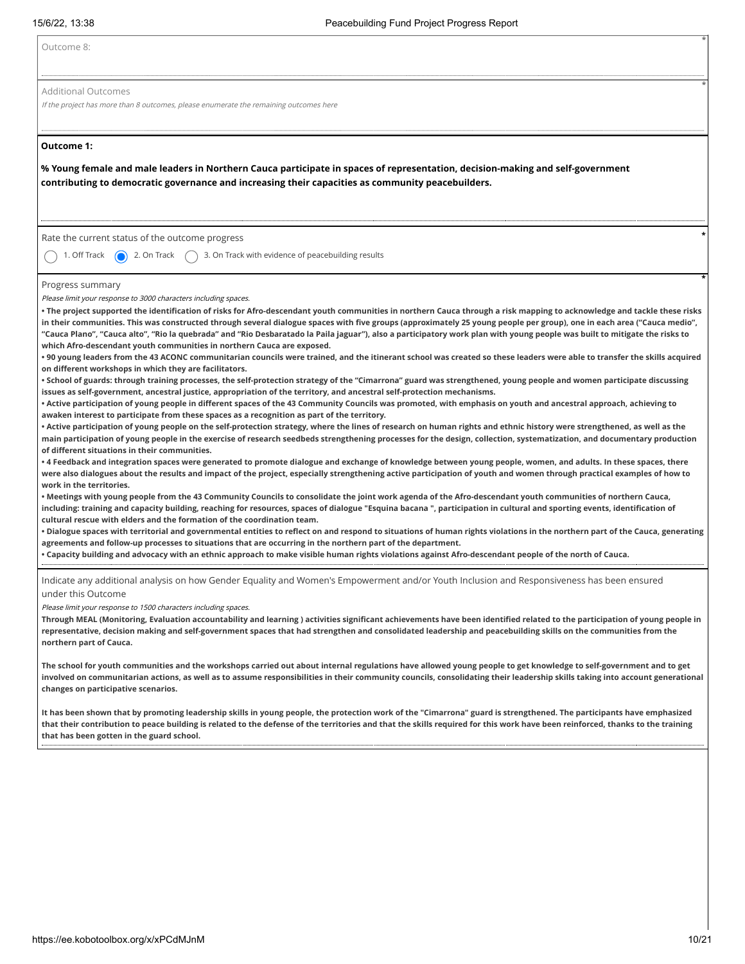| Outcome 8:                                                                                                                                                                                                                                                                                                                                                                                                                                                                                                                                                                                                                                                                                                                                                                                                                                                                                                                                                                                                                                                                                                                                                                                                                                                                                                                                                                                                                                                                                                                                                                                                                                                                                                                                                                                                                                                                                                                                                                                                                                                                                                                                                                                                                                                                                                                                                                                                                                                                                                                                                                                                                                                                                                                                                                                                                                                                                                                                                                                                                                                                                                                                                                            |
|---------------------------------------------------------------------------------------------------------------------------------------------------------------------------------------------------------------------------------------------------------------------------------------------------------------------------------------------------------------------------------------------------------------------------------------------------------------------------------------------------------------------------------------------------------------------------------------------------------------------------------------------------------------------------------------------------------------------------------------------------------------------------------------------------------------------------------------------------------------------------------------------------------------------------------------------------------------------------------------------------------------------------------------------------------------------------------------------------------------------------------------------------------------------------------------------------------------------------------------------------------------------------------------------------------------------------------------------------------------------------------------------------------------------------------------------------------------------------------------------------------------------------------------------------------------------------------------------------------------------------------------------------------------------------------------------------------------------------------------------------------------------------------------------------------------------------------------------------------------------------------------------------------------------------------------------------------------------------------------------------------------------------------------------------------------------------------------------------------------------------------------------------------------------------------------------------------------------------------------------------------------------------------------------------------------------------------------------------------------------------------------------------------------------------------------------------------------------------------------------------------------------------------------------------------------------------------------------------------------------------------------------------------------------------------------------------------------------------------------------------------------------------------------------------------------------------------------------------------------------------------------------------------------------------------------------------------------------------------------------------------------------------------------------------------------------------------------------------------------------------------------------------------------------------------------|
| <b>Additional Outcomes</b><br>If the project has more than 8 outcomes, please enumerate the remaining outcomes here                                                                                                                                                                                                                                                                                                                                                                                                                                                                                                                                                                                                                                                                                                                                                                                                                                                                                                                                                                                                                                                                                                                                                                                                                                                                                                                                                                                                                                                                                                                                                                                                                                                                                                                                                                                                                                                                                                                                                                                                                                                                                                                                                                                                                                                                                                                                                                                                                                                                                                                                                                                                                                                                                                                                                                                                                                                                                                                                                                                                                                                                   |
| Outcome 1:<br>% Young female and male leaders in Northern Cauca participate in spaces of representation, decision-making and self-government<br>contributing to democratic governance and increasing their capacities as community peacebuilders.                                                                                                                                                                                                                                                                                                                                                                                                                                                                                                                                                                                                                                                                                                                                                                                                                                                                                                                                                                                                                                                                                                                                                                                                                                                                                                                                                                                                                                                                                                                                                                                                                                                                                                                                                                                                                                                                                                                                                                                                                                                                                                                                                                                                                                                                                                                                                                                                                                                                                                                                                                                                                                                                                                                                                                                                                                                                                                                                     |
| Rate the current status of the outcome progress<br>1. Off Track<br>3. On Track with evidence of peacebuilding results<br>$\bigodot$<br>2. On Track                                                                                                                                                                                                                                                                                                                                                                                                                                                                                                                                                                                                                                                                                                                                                                                                                                                                                                                                                                                                                                                                                                                                                                                                                                                                                                                                                                                                                                                                                                                                                                                                                                                                                                                                                                                                                                                                                                                                                                                                                                                                                                                                                                                                                                                                                                                                                                                                                                                                                                                                                                                                                                                                                                                                                                                                                                                                                                                                                                                                                                    |
| Progress summary<br>Please limit your response to 3000 characters including spaces.<br>. The project supported the identification of risks for Afro-descendant youth communities in northern Cauca through a risk mapping to acknowledge and tackle these risks<br>in their communities. This was constructed through several dialogue spaces with five groups (approximately 25 young people per group), one in each area ("Cauca medio",<br>"Cauca Plano", "Cauca alto", "Rio la quebrada" and "Rio Desbaratado la Paila jaguar"), also a participatory work plan with young people was built to mitigate the risks to<br>which Afro-descendant youth communities in northern Cauca are exposed.<br>• 90 young leaders from the 43 ACONC communitarian councils were trained, and the itinerant school was created so these leaders were able to transfer the skills acquired<br>on different workshops in which they are facilitators.<br>• School of guards: through training processes, the self-protection strategy of the "Cimarrona" guard was strengthened, young people and women participate discussing<br>issues as self-government, ancestral justice, appropriation of the territory, and ancestral self-protection mechanisms.<br>• Active participation of young people in different spaces of the 43 Community Councils was promoted, with emphasis on youth and ancestral approach, achieving to<br>awaken interest to participate from these spaces as a recognition as part of the territory.<br>• Active participation of young people on the self-protection strategy, where the lines of research on human rights and ethnic history were strengthened, as well as the<br>main participation of young people in the exercise of research seedbeds strengthening processes for the design, collection, systematization, and documentary production<br>of different situations in their communities.<br>• 4 Feedback and integration spaces were generated to promote dialogue and exchange of knowledge between young people, women, and adults. In these spaces, there<br>were also dialogues about the results and impact of the project, especially strengthening active participation of youth and women through practical examples of how to<br>work in the territories.<br>• Meetings with young people from the 43 Community Councils to consolidate the joint work agenda of the Afro-descendant youth communities of northern Cauca,<br>including: training and capacity building, reaching for resources, spaces of dialogue "Esquina bacana ", participation in cultural and sporting events, identification of<br>cultural rescue with elders and the formation of the coordination team.<br>• Dialogue spaces with territorial and governmental entities to reflect on and respond to situations of human rights violations in the northern part of the Cauca, generating<br>agreements and follow-up processes to situations that are occurring in the northern part of the department.<br>• Capacity building and advocacy with an ethnic approach to make visible human rights violations against Afro-descendant people of the north of Cauca. |
| Indicate any additional analysis on how Gender Equality and Women's Empowerment and/or Youth Inclusion and Responsiveness has been ensured<br>under this Outcome<br>Please limit your response to 1500 characters including spaces.<br>Through MEAL (Monitoring, Evaluation accountability and learning ) activities significant achievements have been identified related to the participation of young people in<br>representative, decision making and self-government spaces that had strengthen and consolidated leadership and peacebuilding skills on the communities from the<br>northern part of Cauca.                                                                                                                                                                                                                                                                                                                                                                                                                                                                                                                                                                                                                                                                                                                                                                                                                                                                                                                                                                                                                                                                                                                                                                                                                                                                                                                                                                                                                                                                                                                                                                                                                                                                                                                                                                                                                                                                                                                                                                                                                                                                                                                                                                                                                                                                                                                                                                                                                                                                                                                                                                      |
| The school for youth communities and the workshops carried out about internal regulations have allowed young people to get knowledge to self-government and to get<br>involved on communitarian actions, as well as to assume responsibilities in their community councils, consolidating their leadership skills taking into account generational<br>changes on participative scenarios.                                                                                                                                                                                                                                                                                                                                                                                                                                                                                                                                                                                                                                                                                                                                                                                                                                                                                                                                                                                                                                                                                                                                                                                                                                                                                                                                                                                                                                                                                                                                                                                                                                                                                                                                                                                                                                                                                                                                                                                                                                                                                                                                                                                                                                                                                                                                                                                                                                                                                                                                                                                                                                                                                                                                                                                             |
| It has been shown that by promoting leadership skills in young people, the protection work of the "Cimarrona" guard is strengthened. The participants have emphasized<br>that their contribution to peace building is related to the defense of the territories and that the skills required for this work have been reinforced, thanks to the training<br>that has been gotten in the guard school.                                                                                                                                                                                                                                                                                                                                                                                                                                                                                                                                                                                                                                                                                                                                                                                                                                                                                                                                                                                                                                                                                                                                                                                                                                                                                                                                                                                                                                                                                                                                                                                                                                                                                                                                                                                                                                                                                                                                                                                                                                                                                                                                                                                                                                                                                                                                                                                                                                                                                                                                                                                                                                                                                                                                                                                  |
|                                                                                                                                                                                                                                                                                                                                                                                                                                                                                                                                                                                                                                                                                                                                                                                                                                                                                                                                                                                                                                                                                                                                                                                                                                                                                                                                                                                                                                                                                                                                                                                                                                                                                                                                                                                                                                                                                                                                                                                                                                                                                                                                                                                                                                                                                                                                                                                                                                                                                                                                                                                                                                                                                                                                                                                                                                                                                                                                                                                                                                                                                                                                                                                       |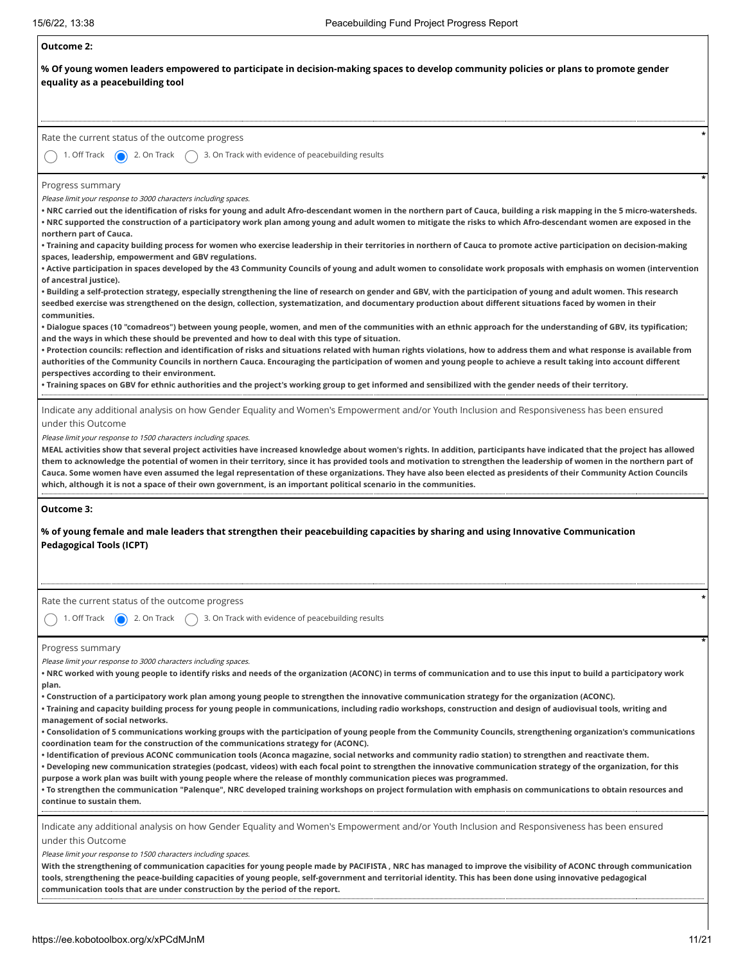| <b>Outcome 2:</b>                                                                                                                                                                                                                                                                                                                                                                                                                                                                                                                                                                                                                                                                                                                                                                                                                                                                     |
|---------------------------------------------------------------------------------------------------------------------------------------------------------------------------------------------------------------------------------------------------------------------------------------------------------------------------------------------------------------------------------------------------------------------------------------------------------------------------------------------------------------------------------------------------------------------------------------------------------------------------------------------------------------------------------------------------------------------------------------------------------------------------------------------------------------------------------------------------------------------------------------|
| % Of young women leaders empowered to participate in decision-making spaces to develop community policies or plans to promote gender<br>equality as a peacebuilding tool                                                                                                                                                                                                                                                                                                                                                                                                                                                                                                                                                                                                                                                                                                              |
| Rate the current status of the outcome progress<br>1. Off Track<br>2. On Track<br>3. On Track with evidence of peacebuilding results                                                                                                                                                                                                                                                                                                                                                                                                                                                                                                                                                                                                                                                                                                                                                  |
|                                                                                                                                                                                                                                                                                                                                                                                                                                                                                                                                                                                                                                                                                                                                                                                                                                                                                       |
| Progress summary<br>Please limit your response to 3000 characters including spaces.<br>• NRC carried out the identification of risks for young and adult Afro-descendant women in the northern part of Cauca, building a risk mapping in the 5 micro-watersheds.<br>• NRC supported the construction of a participatory work plan among young and adult women to mitigate the risks to which Afro-descendant women are exposed in the<br>northern part of Cauca.                                                                                                                                                                                                                                                                                                                                                                                                                      |
| • Training and capacity building process for women who exercise leadership in their territories in northern of Cauca to promote active participation on decision-making<br>spaces, leadership, empowerment and GBV regulations.<br>• Active participation in spaces developed by the 43 Community Councils of young and adult women to consolidate work proposals with emphasis on women (intervention<br>of ancestral justice).                                                                                                                                                                                                                                                                                                                                                                                                                                                      |
| • Building a self-protection strategy, especially strengthening the line of research on gender and GBV, with the participation of young and adult women. This research<br>seedbed exercise was strengthened on the design, collection, systematization, and documentary production about different situations faced by women in their<br>communities.<br>• Dialogue spaces (10 "comadreos") between young people, women, and men of the communities with an ethnic approach for the understanding of GBV, its typification;                                                                                                                                                                                                                                                                                                                                                           |
| and the ways in which these should be prevented and how to deal with this type of situation.<br>• Protection councils: reflection and identification of risks and situations related with human rights violations, how to address them and what response is available from<br>authorities of the Community Councils in northern Cauca. Encouraging the participation of women and young people to achieve a result taking into account different<br>perspectives according to their environment.<br>• Training spaces on GBV for ethnic authorities and the project's working group to get informed and sensibilized with the gender needs of their territory.                                                                                                                                                                                                                        |
| Indicate any additional analysis on how Gender Equality and Women's Empowerment and/or Youth Inclusion and Responsiveness has been ensured<br>under this Outcome<br>Please limit your response to 1500 characters including spaces.<br>MEAL activities show that several project activities have increased knowledge about women's rights. In addition, participants have indicated that the project has allowed<br>them to acknowledge the potential of women in their territory, since it has provided tools and motivation to strengthen the leadership of women in the northern part of<br>Cauca. Some women have even assumed the legal representation of these organizations. They have also been elected as presidents of their Community Action Councils<br>which, although it is not a space of their own government, is an important political scenario in the communities. |
| Outcome 3:<br>% of young female and male leaders that strengthen their peacebuilding capacities by sharing and using Innovative Communication<br><b>Pedagogical Tools (ICPT)</b>                                                                                                                                                                                                                                                                                                                                                                                                                                                                                                                                                                                                                                                                                                      |
| Rate the current status of the outcome progress<br>1. Off Track<br>3. On Track with evidence of peacebuilding results<br>2. On Track                                                                                                                                                                                                                                                                                                                                                                                                                                                                                                                                                                                                                                                                                                                                                  |
| Progress summary<br>Please limit your response to 3000 characters including spaces.<br>• NRC worked with young people to identify risks and needs of the organization (ACONC) in terms of communication and to use this input to build a participatory work<br>plan.<br>• Construction of a participatory work plan among young people to strengthen the innovative communication strategy for the organization (ACONC).                                                                                                                                                                                                                                                                                                                                                                                                                                                              |
| • Training and capacity building process for young people in communications, including radio workshops, construction and design of audiovisual tools, writing and<br>management of social networks.<br>• Consolidation of 5 communications working groups with the participation of young people from the Community Councils, strengthening organization's communications<br>coordination team for the construction of the communications strategy for (ACONC).                                                                                                                                                                                                                                                                                                                                                                                                                       |
| • Identification of previous ACONC communication tools (Aconca magazine, social networks and community radio station) to strengthen and reactivate them.<br>• Developing new communication strategies (podcast, videos) with each focal point to strengthen the innovative communication strategy of the organization, for this<br>purpose a work plan was built with young people where the release of monthly communication pieces was programmed.<br>• To strengthen the communication "Palenque", NRC developed training workshops on project formulation with emphasis on communications to obtain resources and<br>continue to sustain them.                                                                                                                                                                                                                                    |
| Indicate any additional analysis on how Gender Equality and Women's Empowerment and/or Youth Inclusion and Responsiveness has been ensured<br>under this Outcome<br>Please limit your response to 1500 characters including spaces.<br>With the strengthening of communication capacities for young people made by PACIFISTA , NRC has managed to improve the visibility of ACONC through communication<br>tools, strengthening the peace-building capacities of young people, self-government and territorial identity. This has been done using innovative pedagogical                                                                                                                                                                                                                                                                                                              |
| communication tools that are under construction by the period of the report.                                                                                                                                                                                                                                                                                                                                                                                                                                                                                                                                                                                                                                                                                                                                                                                                          |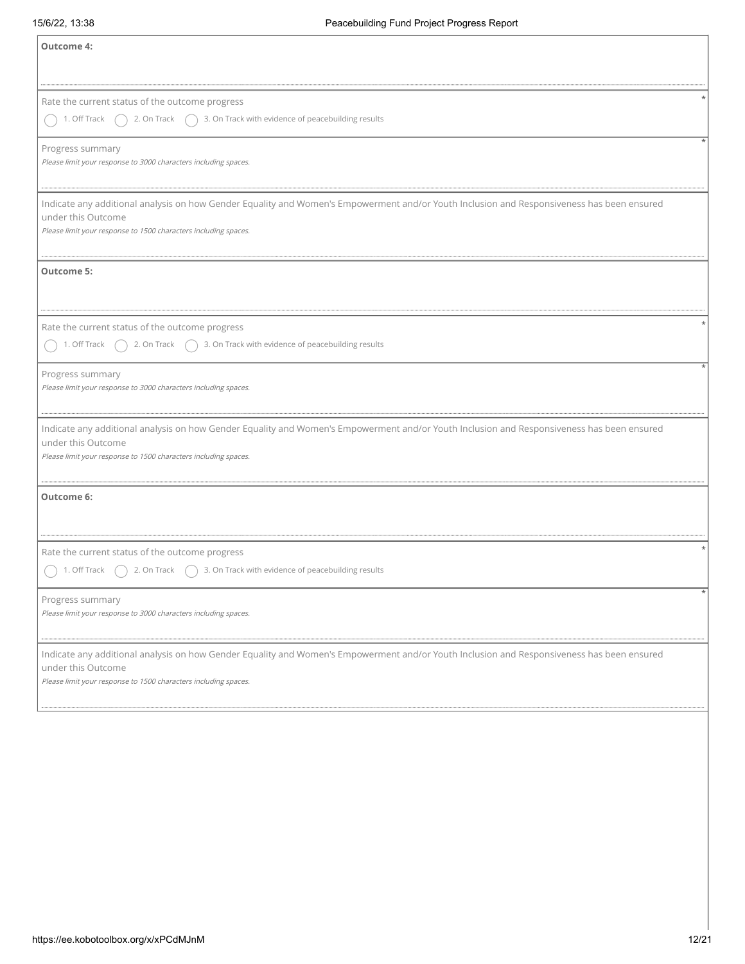| <b>Outcome 4:</b>                                                                                                                          |
|--------------------------------------------------------------------------------------------------------------------------------------------|
|                                                                                                                                            |
| Rate the current status of the outcome progress                                                                                            |
| 1. Off Track<br>3. On Track with evidence of peacebuilding results<br>2. On Track                                                          |
| Progress summary                                                                                                                           |
| Please limit your response to 3000 characters including spaces.                                                                            |
| Indicate any additional analysis on how Gender Equality and Women's Empowerment and/or Youth Inclusion and Responsiveness has been ensured |
| under this Outcome<br>Please limit your response to 1500 characters including spaces.                                                      |
|                                                                                                                                            |
| <b>Outcome 5:</b>                                                                                                                          |
|                                                                                                                                            |
| Rate the current status of the outcome progress                                                                                            |
| 3. On Track with evidence of peacebuilding results<br>1. Off Track<br>2. On Track                                                          |
| Progress summary                                                                                                                           |
| Please limit your response to 3000 characters including spaces.                                                                            |
| Indicate any additional analysis on how Gender Equality and Women's Empowerment and/or Youth Inclusion and Responsiveness has been ensured |
| under this Outcome<br>Please limit your response to 1500 characters including spaces.                                                      |
|                                                                                                                                            |
| Outcome 6:                                                                                                                                 |
|                                                                                                                                            |
| Rate the current status of the outcome progress                                                                                            |
| 3. On Track with evidence of peacebuilding results<br>1. Off Track<br>2. On Track                                                          |
| Progress summary                                                                                                                           |
| Please limit your response to 3000 characters including spaces.                                                                            |
| Indicate any additional analysis on how Gender Equality and Women's Empowerment and/or Youth Inclusion and Responsiveness has been ensured |
| under this Outcome<br>Please limit your response to 1500 characters including spaces.                                                      |
|                                                                                                                                            |
|                                                                                                                                            |
|                                                                                                                                            |
|                                                                                                                                            |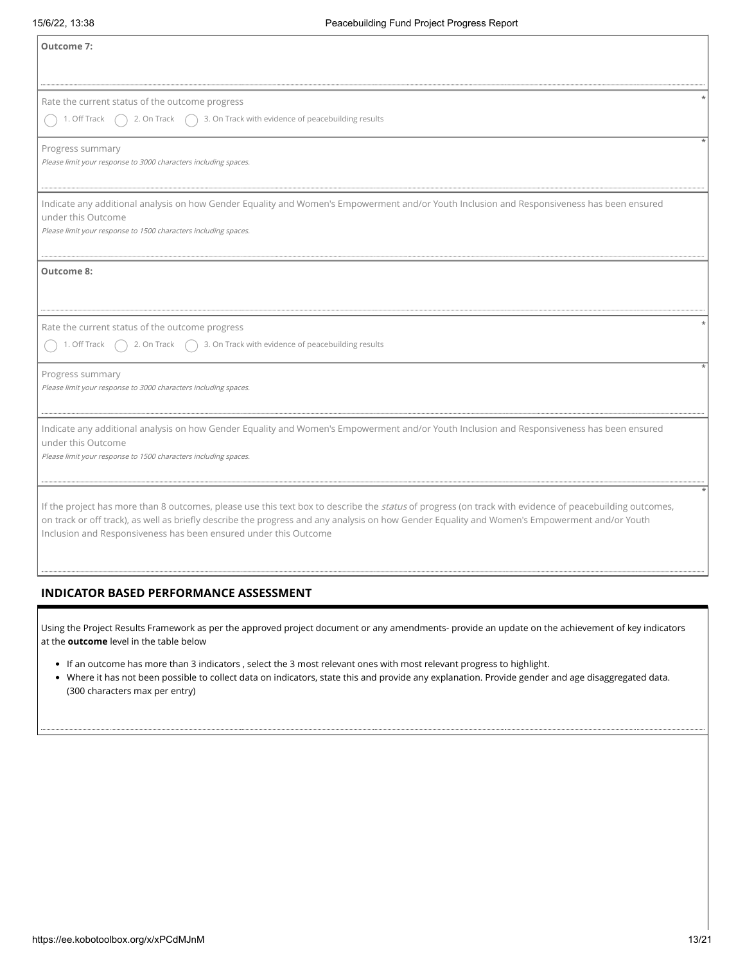| <b>Outcome 7:</b>                                                                                                                                                                                                                                                                                                                                                            |
|------------------------------------------------------------------------------------------------------------------------------------------------------------------------------------------------------------------------------------------------------------------------------------------------------------------------------------------------------------------------------|
| Rate the current status of the outcome progress<br>3. On Track with evidence of peacebuilding results<br>1. Off Track<br>2. On Track                                                                                                                                                                                                                                         |
| Progress summary<br>Please limit your response to 3000 characters including spaces.                                                                                                                                                                                                                                                                                          |
| Indicate any additional analysis on how Gender Equality and Women's Empowerment and/or Youth Inclusion and Responsiveness has been ensured<br>under this Outcome<br>Please limit your response to 1500 characters including spaces.                                                                                                                                          |
| <b>Outcome 8:</b>                                                                                                                                                                                                                                                                                                                                                            |
| Rate the current status of the outcome progress<br>3. On Track with evidence of peacebuilding results<br>1. Off Track<br>2. On Track                                                                                                                                                                                                                                         |
| Progress summary<br>Please limit your response to 3000 characters including spaces.                                                                                                                                                                                                                                                                                          |
| Indicate any additional analysis on how Gender Equality and Women's Empowerment and/or Youth Inclusion and Responsiveness has been ensured<br>under this Outcome<br>Please limit your response to 1500 characters including spaces.                                                                                                                                          |
| If the project has more than 8 outcomes, please use this text box to describe the status of progress (on track with evidence of peacebuilding outcomes,<br>on track or off track), as well as briefly describe the progress and any analysis on how Gender Equality and Women's Empowerment and/or Youth<br>Inclusion and Responsiveness has been ensured under this Outcome |
| <b>INDICATOR BASED PERFORMANCE ASSESSMENT</b>                                                                                                                                                                                                                                                                                                                                |
| Using the Project Results Framework as per the approved project document or any amendments- provide an update on the achievement of key indicators<br>at the <b>outcome</b> level in the table below                                                                                                                                                                         |
| • If an outcome has more than 3 indicators, select the 3 most relevant ones with most relevant progress to highlight.<br>• Where it has not been possible to collect data on indicators, state this and provide any explanation. Provide gender and age disaggregated data.<br>(300 characters max per entry)                                                                |
|                                                                                                                                                                                                                                                                                                                                                                              |

# **INDICATOR BASED PERFORMANCE ASSESSMENT**

- If an outcome has more than 3 indicators , select the 3 most relevant ones with most relevant progress to highlight.
- Where it has not been possible to collect data on indicators, state this and provide any explanation. Provide gender and age disaggregated data. (300 characters max per entry)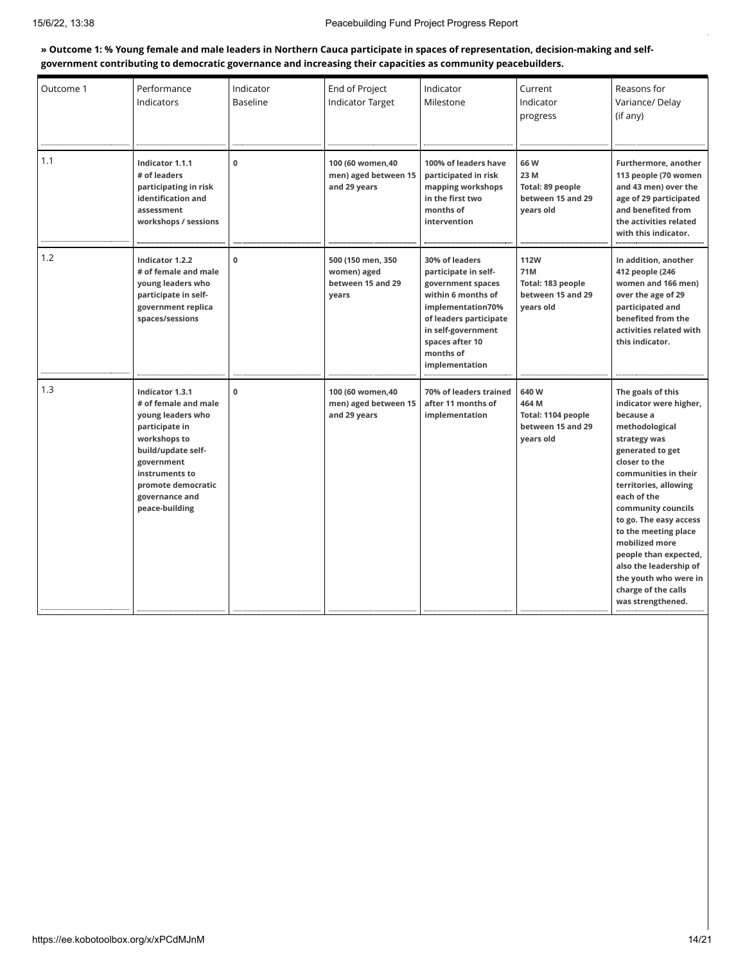#### » Outcome 1: % Young female and male leaders in Northern Cauca participate in spaces of representation, decision-making and self**government contributing to democratic governance and increasing their capacities as community peacebuilders.**

| Outcome 1 | Performance<br>Indicators                                                                                                                                                                                      | Indicator<br><b>Baseline</b> | End of Project<br><b>Indicator Target</b>                      | Indicator<br>Milestone                                                                                                                                                                                   | Current<br>Indicator<br>progress                                          | Reasons for<br>Variance/Delay<br>(if any)                                                                                                                                                                                                                                                                                                                                                                         |
|-----------|----------------------------------------------------------------------------------------------------------------------------------------------------------------------------------------------------------------|------------------------------|----------------------------------------------------------------|----------------------------------------------------------------------------------------------------------------------------------------------------------------------------------------------------------|---------------------------------------------------------------------------|-------------------------------------------------------------------------------------------------------------------------------------------------------------------------------------------------------------------------------------------------------------------------------------------------------------------------------------------------------------------------------------------------------------------|
| 1.1       | Indicator 1.1.1<br># of leaders<br>participating in risk<br>identification and<br>assessment<br>workshops / sessions                                                                                           | 0                            | 100 (60 women.40<br>men) aged between 15<br>and 29 years       | 100% of leaders have<br>participated in risk<br>mapping workshops<br>in the first two<br>months of<br>intervention                                                                                       | 66 W<br>23 M<br>Total: 89 people<br>between 15 and 29<br>years old        | Furthermore, another<br>113 people (70 women<br>and 43 men) over the<br>age of 29 participated<br>and benefited from<br>the activities related<br>with this indicator.                                                                                                                                                                                                                                            |
| 1.2       | Indicator 1.2.2<br># of female and male<br>young leaders who<br>participate in self-<br>government replica<br>spaces/sessions                                                                                  | $\mathbf 0$                  | 500 (150 men, 350<br>women) aged<br>between 15 and 29<br>years | 30% of leaders<br>participate in self-<br>government spaces<br>within 6 months of<br>implementation70%<br>of leaders participate<br>in self-government<br>spaces after 10<br>months of<br>implementation | <b>112W</b><br>71M<br>Total: 183 people<br>between 15 and 29<br>years old | In addition, another<br>412 people (246<br>women and 166 men)<br>over the age of 29<br>participated and<br>benefited from the<br>activities related with<br>this indicator.                                                                                                                                                                                                                                       |
| 1.3       | Indicator 1.3.1<br># of female and male<br>young leaders who<br>participate in<br>workshops to<br>build/update self-<br>government<br>instruments to<br>promote democratic<br>governance and<br>peace-building | 0                            | 100 (60 women, 40<br>men) aged between 15<br>and 29 years      | 70% of leaders trained<br>after 11 months of<br>implementation                                                                                                                                           | 640W<br>464 M<br>Total: 1104 people<br>between 15 and 29<br>vears old     | The goals of this<br>indicator were higher,<br>because a<br>methodological<br>strategy was<br>generated to get<br>closer to the<br>communities in their<br>territories, allowing<br>each of the<br>community councils<br>to go. The easy access<br>to the meeting place<br>mobilized more<br>people than expected,<br>also the leadership of<br>the youth who were in<br>charge of the calls<br>was strengthened. |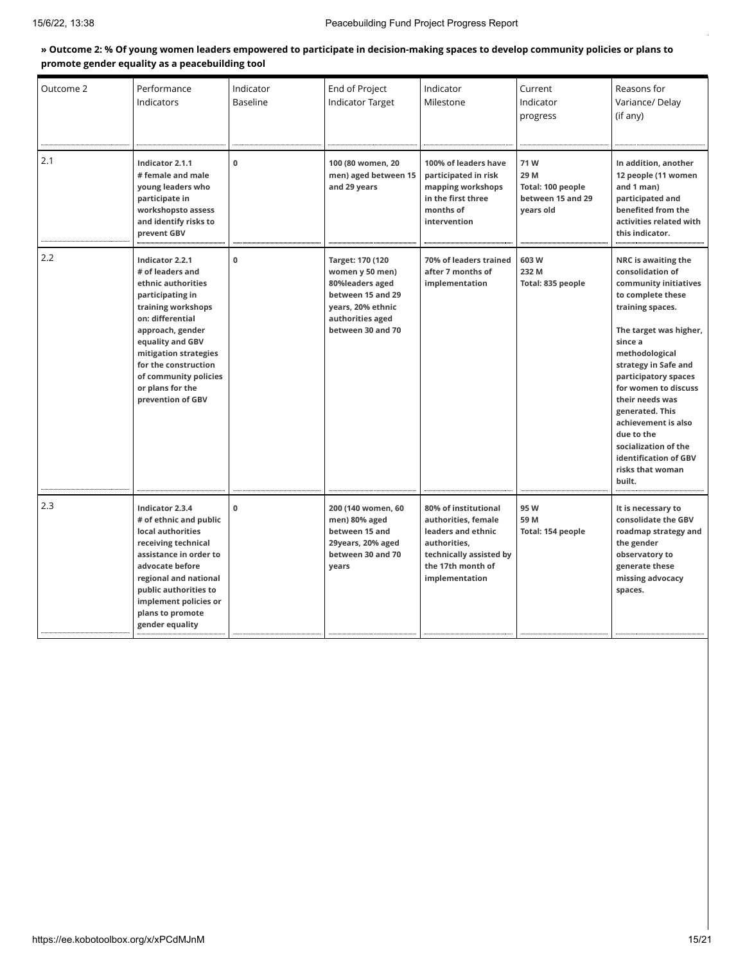#### » Outcome 2: % Of young women leaders empowered to participate in decision-making spaces to develop community policies or plans to **promote gender equality as a peacebuilding tool**

| Outcome 2 | Performance<br>Indicators                                                                                                                                                                                                                                                          | Indicator<br><b>Baseline</b> | End of Project<br>Indicator Target                                                                                                        | Indicator<br>Milestone                                                                                                                              | Current<br>Indicator<br>progress                                   | Reasons for<br>Variance/Delay<br>(if any)                                                                                                                                                                                                                                                                                                                                                          |
|-----------|------------------------------------------------------------------------------------------------------------------------------------------------------------------------------------------------------------------------------------------------------------------------------------|------------------------------|-------------------------------------------------------------------------------------------------------------------------------------------|-----------------------------------------------------------------------------------------------------------------------------------------------------|--------------------------------------------------------------------|----------------------------------------------------------------------------------------------------------------------------------------------------------------------------------------------------------------------------------------------------------------------------------------------------------------------------------------------------------------------------------------------------|
| 2.1       | Indicator 2.1.1<br># female and male<br>young leaders who<br>participate in<br>workshopsto assess<br>and identify risks to<br>prevent GBV                                                                                                                                          | $\mathbf 0$                  | 100 (80 women, 20<br>men) aged between 15<br>and 29 years                                                                                 | 100% of leaders have<br>participated in risk<br>mapping workshops<br>in the first three<br>months of<br>intervention                                | 71W<br>29 M<br>Total: 100 people<br>between 15 and 29<br>years old | In addition, another<br>12 people (11 women<br>and 1 man)<br>participated and<br>benefited from the<br>activities related with<br>this indicator.                                                                                                                                                                                                                                                  |
| 2.2       | Indicator 2.2.1<br># of leaders and<br>ethnic authorities<br>participating in<br>training workshops<br>on: differential<br>approach, gender<br>equality and GBV<br>mitigation strategies<br>for the construction<br>of community policies<br>or plans for the<br>prevention of GBV | $\mathbf 0$                  | Target: 170 (120<br>women y 50 men)<br>80%leaders aged<br>between 15 and 29<br>years, 20% ethnic<br>authorities aged<br>between 30 and 70 | 70% of leaders trained<br>after 7 months of<br>implementation                                                                                       | 603W<br>232 M<br>Total: 835 people                                 | NRC is awaiting the<br>consolidation of<br>community initiatives<br>to complete these<br>training spaces.<br>The target was higher,<br>since a<br>methodological<br>strategy in Safe and<br>participatory spaces<br>for women to discuss<br>their needs was<br>generated. This<br>achievement is also<br>due to the<br>socialization of the<br>identification of GBV<br>risks that woman<br>built. |
| 2.3       | Indicator 2.3.4<br># of ethnic and public<br>local authorities<br>receiving technical<br>assistance in order to<br>advocate before<br>regional and national<br>public authorities to<br>implement policies or<br>plans to promote<br>gender equality                               | $\mathbf 0$                  | 200 (140 women, 60<br>men) 80% aged<br>between 15 and<br>29years, 20% aged<br>between 30 and 70<br>years                                  | 80% of institutional<br>authorities, female<br>leaders and ethnic<br>authorities,<br>technically assisted by<br>the 17th month of<br>implementation | 95 W<br>59 M<br>Total: 154 people                                  | It is necessary to<br>consolidate the GBV<br>roadmap strategy and<br>the gender<br>observatory to<br>generate these<br>missing advocacy<br>spaces.                                                                                                                                                                                                                                                 |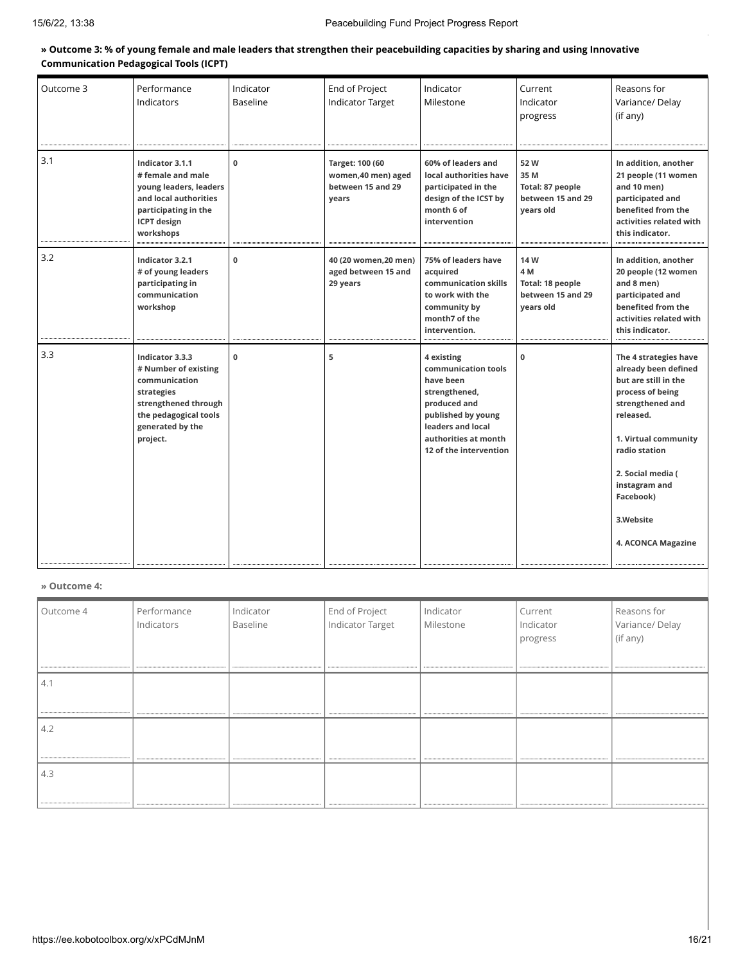#### **» Outcome 3: % of young female and male leaders that strengthen their peacebuilding capacities by sharing and using Innovative Communication Pedagogical Tools (ICPT)**

| Outcome 3 | Performance<br>Indicators                                                                                                                               | Indicator<br><b>Baseline</b> | End of Project<br><b>Indicator Target</b>                            | Indicator<br>Milestone                                                                                                                                                       | Current<br>Indicator<br>progress                                  | Reasons for<br>Variance/Delay<br>(if any)                                                                                                                                                                                                                 |
|-----------|---------------------------------------------------------------------------------------------------------------------------------------------------------|------------------------------|----------------------------------------------------------------------|------------------------------------------------------------------------------------------------------------------------------------------------------------------------------|-------------------------------------------------------------------|-----------------------------------------------------------------------------------------------------------------------------------------------------------------------------------------------------------------------------------------------------------|
| 3.1       | Indicator 3.1.1<br># female and male<br>young leaders, leaders<br>and local authorities<br>participating in the<br><b>ICPT</b> design<br>workshops      | $\mathbf{0}$                 | Target: 100 (60<br>women, 40 men) aged<br>between 15 and 29<br>years | 60% of leaders and<br>local authorities have<br>participated in the<br>design of the ICST by<br>month 6 of<br>intervention                                                   | 52W<br>35 M<br>Total: 87 people<br>between 15 and 29<br>years old | In addition, another<br>21 people (11 women<br>and 10 men)<br>participated and<br>benefited from the<br>activities related with<br>this indicator.                                                                                                        |
| 3.2       | Indicator 3.2.1<br># of young leaders<br>participating in<br>communication<br>workshop                                                                  | $\mathbf 0$                  | 40 (20 women, 20 men)<br>aged between 15 and<br>29 years             | 75% of leaders have<br>acquired<br>communication skills<br>to work with the<br>community by<br>month7 of the<br>intervention.                                                | 14 W<br>4 M<br>Total: 18 people<br>between 15 and 29<br>vears old | In addition, another<br>20 people (12 women<br>and 8 men)<br>participated and<br>benefited from the<br>activities related with<br>this indicator.                                                                                                         |
| 3.3       | Indicator 3.3.3<br># Number of existing<br>communication<br>strategies<br>strengthened through<br>the pedagogical tools<br>generated by the<br>project. | $\mathbf{0}$                 | 5                                                                    | 4 existing<br>communication tools<br>have been<br>strengthened,<br>produced and<br>published by young<br>leaders and local<br>authorities at month<br>12 of the intervention | 0                                                                 | The 4 strategies have<br>already been defined<br>but are still in the<br>process of being<br>strengthened and<br>released.<br>1. Virtual community<br>radio station<br>2. Social media (<br>instagram and<br>Facebook)<br>3.Website<br>4. ACONCA Magazine |

#### **» Outcome 4:**

| Outcome 4 | Performance<br>Indicators | Indicator<br>Baseline | End of Project<br>Indicator Target | Indicator<br>Milestone | Current<br>Indicator<br>progress | Reasons for<br>Variance/Delay<br>(if any) |
|-----------|---------------------------|-----------------------|------------------------------------|------------------------|----------------------------------|-------------------------------------------|
|           |                           |                       |                                    |                        |                                  |                                           |
| 4.        |                           |                       |                                    |                        |                                  |                                           |
|           |                           |                       |                                    |                        |                                  |                                           |
| 4.2       |                           |                       |                                    |                        |                                  |                                           |
|           |                           |                       |                                    |                        |                                  |                                           |
|           |                           |                       | <br>                               |                        |                                  | ----------------------------------        |
| 4.3       |                           |                       |                                    |                        |                                  |                                           |
|           |                           |                       |                                    |                        |                                  |                                           |
|           |                           |                       |                                    |                        |                                  |                                           |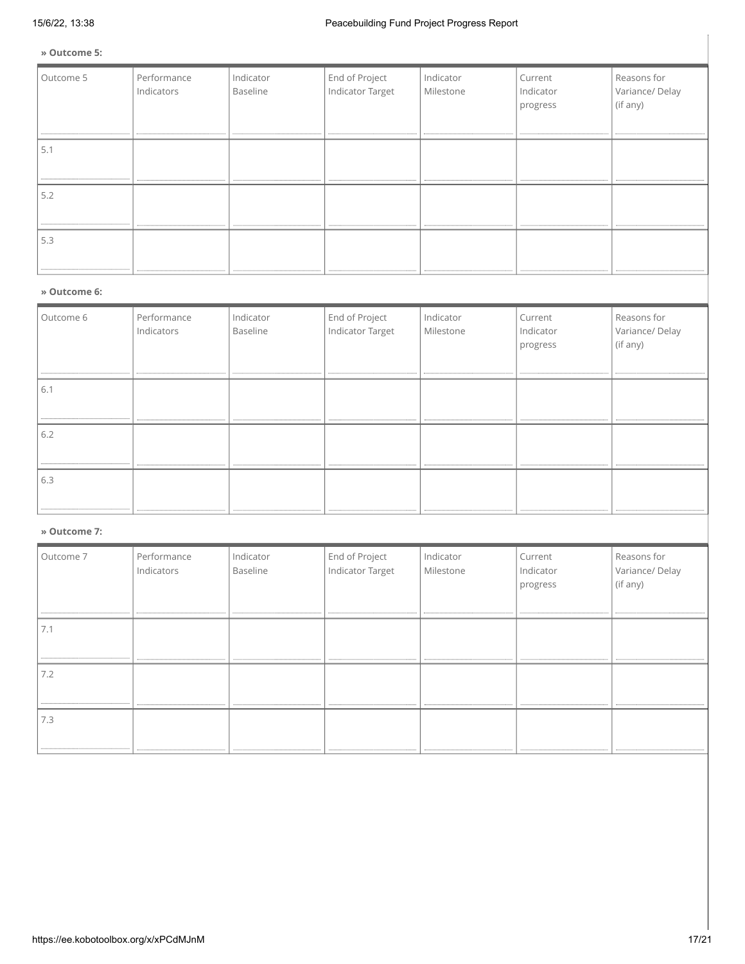**» Outcome 5:**

| Outcome 5 | Performance<br>Indicators<br> | Indicator<br>Baseline | End of Project<br>Indicator Target | Indicator<br>Milestone | Current<br>Indicator<br>progress | Reasons for<br>Variance/Delay<br>(if any) |
|-----------|-------------------------------|-----------------------|------------------------------------|------------------------|----------------------------------|-------------------------------------------|
| 5.1       |                               |                       |                                    |                        |                                  |                                           |
| 5.2       |                               |                       |                                    |                        |                                  |                                           |
| 5.3       |                               |                       |                                    |                        |                                  |                                           |

#### **» Outcome 6:**

| Outcome 6 | Performance<br>Indicators | Indicator<br>Baseline | End of Project<br>Indicator Target | Indicator<br>Milestone | Current<br>Indicator<br>progress | Reasons for<br>Variance/Delay<br>(if any) |
|-----------|---------------------------|-----------------------|------------------------------------|------------------------|----------------------------------|-------------------------------------------|
|           |                           |                       |                                    |                        |                                  |                                           |
| 6.<br>    |                           |                       |                                    |                        |                                  |                                           |
| 6.2       |                           |                       |                                    |                        |                                  |                                           |
| 6.3       |                           |                       |                                    |                        |                                  |                                           |
|           |                           |                       |                                    |                        |                                  |                                           |

# **» Outcome 7:**

| Outcome 7 | Performance<br>Indicators | Indicator<br>Baseline | End of Project<br>Indicator Target | Indicator<br>Milestone | Current<br>Indicator<br>progress | Reasons for<br>Variance/Delay<br>(if any) |
|-----------|---------------------------|-----------------------|------------------------------------|------------------------|----------------------------------|-------------------------------------------|
|           | --------------            |                       |                                    | <br>                   | ------------------               | --------------------------                |
| 7.1       |                           |                       |                                    |                        |                                  |                                           |
|           |                           |                       |                                    |                        |                                  |                                           |
| 7.2       |                           |                       |                                    |                        |                                  |                                           |
|           |                           |                       |                                    |                        |                                  |                                           |
| 7.3       |                           |                       |                                    |                        |                                  |                                           |
|           |                           |                       |                                    |                        |                                  |                                           |
|           |                           |                       |                                    |                        |                                  |                                           |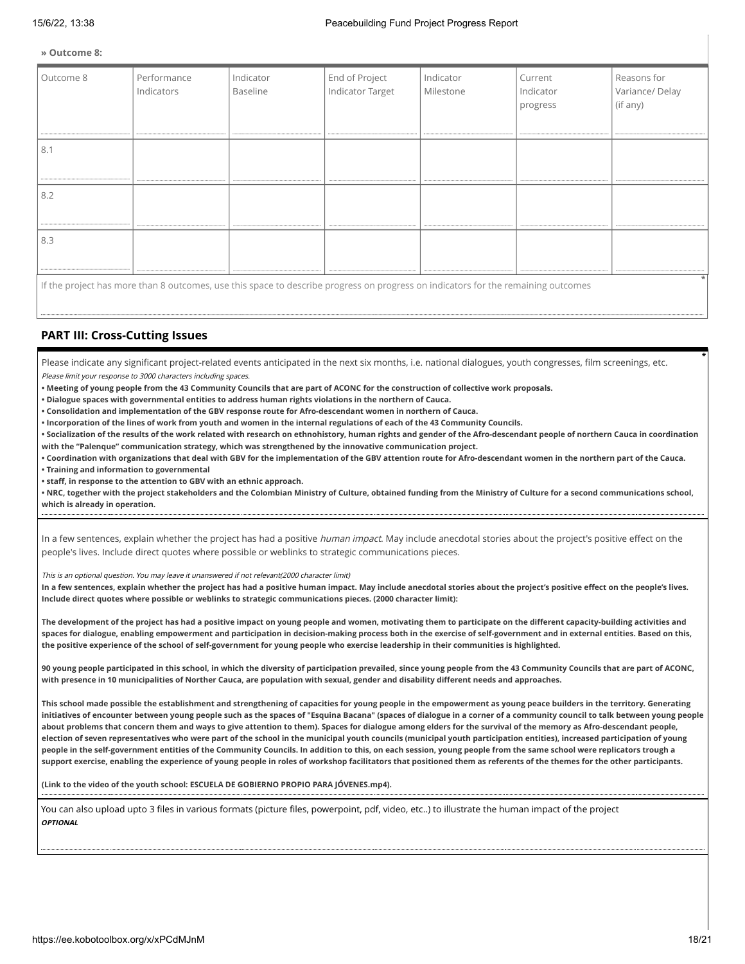**» Outcome 8:**

| Outcome 8 | Performance<br>Indicators                                                                                                         | Indicator<br>Baseline | End of Project<br>Indicator Target | Indicator<br>Milestone | Current<br>Indicator<br>progress | Reasons for<br>Variance/Delay<br>(if any) |
|-----------|-----------------------------------------------------------------------------------------------------------------------------------|-----------------------|------------------------------------|------------------------|----------------------------------|-------------------------------------------|
| 8.1       |                                                                                                                                   |                       |                                    |                        |                                  |                                           |
| 8.2       |                                                                                                                                   |                       |                                    |                        |                                  |                                           |
| 8.3       |                                                                                                                                   |                       |                                    |                        |                                  |                                           |
|           | If the project has more than 8 outcomes, use this space to describe progress on progress on indicators for the remaining outcomes |                       |                                    |                        |                                  |                                           |

#### **PART III: Cross-Cutting Issues**

Please indicate any significant project-related events anticipated in the next six months, i.e. national dialogues, youth congresses, film screenings, etc. Please limit your response to 3000 characters including spaces.

**• Meeting of young people from the 43 Community Councils that are part of ACONC for the construction of collective work proposals.**

**• Dialogue spaces with governmental entities to address human rights violations in the northern of Cauca.**

**• Consolidation and implementation of the GBV response route for Afro-descendant women in northern of Cauca.**

**• Incorporation of the lines of work from youth and women in the internal regulations of each of the 43 Community Councils.**

**• Socialization of the results of the work related with research on ethnohistory, human rights and gender of the Afro-descendant people of northern Cauca in coordination with the "Palenque" communication strategy, which was strengthened by the innovative communication project.**

**• Coordination with organizations that deal with GBV for the implementation of the GBV attention route for Afro-descendant women in the northern part of the Cauca. • Training and information to governmental**

**• staff, in response to the attention to GBV with an ethnic approach.**

**• NRC, together with the project stakeholders and the Colombian Ministry of Culture, obtained funding from the Ministry of Culture for a second communications school, which is already in operation.**

In a few sentences, explain whether the project has had a positive human impact. May include anecdotal stories about the project's positive effect on the people's lives. Include direct quotes where possible or weblinks to strategic communications pieces.

This is an optional question. You may leave it unanswered if not relevant(2000 character limit)

**In a few sentences, explain whether the project has had a positive human impact. May include anecdotal stories about the project's positive effect on the people's lives. Include direct quotes where possible or weblinks to strategic communications pieces. (2000 character limit):**

**The development of the project has had a positive impact on young people and women, motivating them to participate on the different capacity-building activities and spaces for dialogue, enabling empowerment and participation in decision-making process both in the exercise of self-government and in external entities. Based on this, the positive experience of the school of self-government for young people who exercise leadership in their communities is highlighted.** 

**90 young people participated in this school, in which the diversity of participation prevailed, since young people from the 43 Community Councils that are part of ACONC, with presence in 10 municipalities of Norther Cauca, are population with sexual, gender and disability different needs and approaches.**

**This school made possible the establishment and strengthening of capacities for young people in the empowerment as young peace builders in the territory. Generating initiatives of encounter between young people such as the spaces of "Esquina Bacana" (spaces of dialogue in a corner of a community council to talk between young people about problems that concern them and ways to give attention to them). Spaces for dialogue among elders for the survival of the memory as Afro-descendant people, election of seven representatives who were part of the school in the municipal youth councils (municipal youth participation entities), increased participation of young people in the self-government entities of the Community Councils. In addition to this, on each session, young people from the same school were replicators trough a support exercise, enabling the experience of young people in roles of workshop facilitators that positioned them as referents of the themes for the other participants.** 

**(Link to the video of the youth school: ESCUELA DE GOBIERNO PROPIO PARA JÓVENES.mp4).**

You can also upload upto 3 files in various formats (picture files, powerpoint, pdf, video, etc..) to illustrate the human impact of the project **OPTIONAL**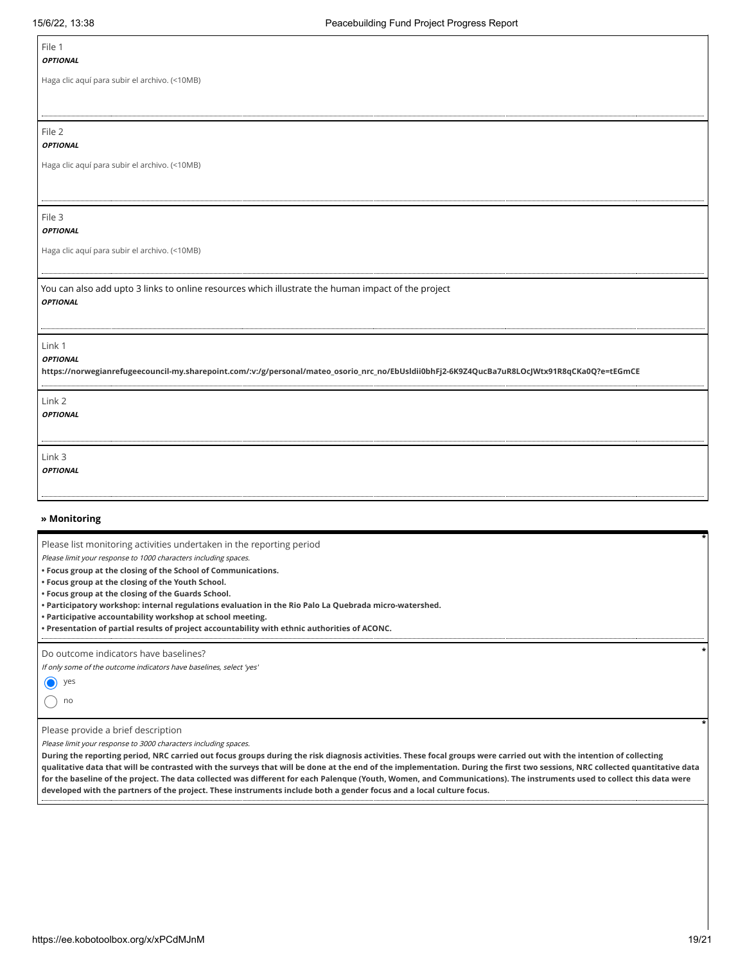Г

| File 1<br><b>OPTIONAL</b>                                                                                                                                                 |
|---------------------------------------------------------------------------------------------------------------------------------------------------------------------------|
| Haga clic aquí para subir el archivo. (<10MB)                                                                                                                             |
| File 2                                                                                                                                                                    |
| <b>OPTIONAL</b>                                                                                                                                                           |
| Haga clic aquí para subir el archivo. (<10MB)                                                                                                                             |
|                                                                                                                                                                           |
| File 3<br><b>OPTIONAL</b>                                                                                                                                                 |
| Haga clic aquí para subir el archivo. (<10MB)                                                                                                                             |
| You can also add upto 3 links to online resources which illustrate the human impact of the project<br><b>OPTIONAL</b>                                                     |
| Link 1<br><b>OPTIONAL</b><br>https://norwegianrefugeecouncil-my.sharepoint.com/:v:/g/personal/mateo_osorio_nrc_no/EbUsIdii0bhFj2-6K9Z4QucBa7uR8LOcJWtx91R8qCKa0Q?e=tEGmCE |
| Link 2<br><b>OPTIONAL</b>                                                                                                                                                 |
| Link 3<br><b>OPTIONAL</b>                                                                                                                                                 |
| » Monitoring                                                                                                                                                              |
| Please list monitoring activities undertaken in the reporting period<br>Please limit your response to 1000 characters including spaces.                                   |

**• Focus group at the closing of the School of Communications.**

**• Focus group at the closing of the Youth School.**

**• Focus group at the closing of the Guards School.**

**• Participatory workshop: internal regulations evaluation in the Rio Palo La Quebrada micro-watershed.**

**• Participative accountability workshop at school meeting.** 

.................................

**• Presentation of partial results of project accountability with ethnic authorities of ACONC.** 

Do outcome indicators have baselines?

If only some of the outcome indicators have baselines, select 'yes'



Please provide a brief description

Please limit your response to 3000 characters including spaces.

**During the reporting period, NRC carried out focus groups during the risk diagnosis activities. These focal groups were carried out with the intention of collecting qualitative data that will be contrasted with the surveys that will be done at the end of the implementation. During the first two sessions, NRC collected quantitative data for the baseline of the project. The data collected was different for each Palenque (Youth, Women, and Communications). The instruments used to collect this data were developed with the partners of the project. These instruments include both a gender focus and a local culture focus.**

**\***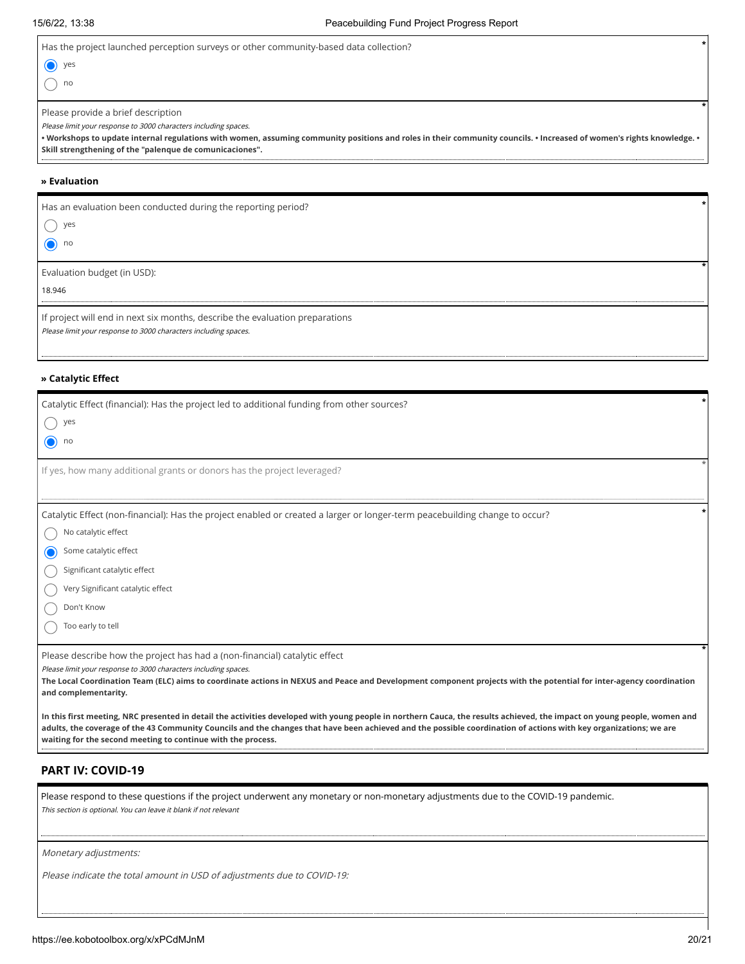| Has the project launched perception surveys or other community-based data collection?                                                                                                                                             |  |
|-----------------------------------------------------------------------------------------------------------------------------------------------------------------------------------------------------------------------------------|--|
| yes                                                                                                                                                                                                                               |  |
| no                                                                                                                                                                                                                                |  |
| Please provide a brief description                                                                                                                                                                                                |  |
| Please limit your response to 3000 characters including spaces.                                                                                                                                                                   |  |
| • Workshops to update internal regulations with women, assuming community positions and roles in their community councils. • Increased of women's rights knowledge. •<br>Skill strengthening of the "palenque de comunicaciones". |  |
|                                                                                                                                                                                                                                   |  |
| » Evaluation                                                                                                                                                                                                                      |  |
| Has an evaluation been conducted during the reporting period?                                                                                                                                                                     |  |
| yes                                                                                                                                                                                                                               |  |
| no                                                                                                                                                                                                                                |  |
| Evaluation budget (in USD):                                                                                                                                                                                                       |  |
| 18.946                                                                                                                                                                                                                            |  |
|                                                                                                                                                                                                                                   |  |

| If project will end in next six months, describe the evaluation preparations |
|------------------------------------------------------------------------------|
| Please limit your response to 3000 characters including spaces.              |

#### **» Catalytic Effect**

| Catalytic Effect (financial): Has the project led to additional funding from other sources?                                                                                                                                                                                                                                                  |
|----------------------------------------------------------------------------------------------------------------------------------------------------------------------------------------------------------------------------------------------------------------------------------------------------------------------------------------------|
| yes                                                                                                                                                                                                                                                                                                                                          |
| O<br>no                                                                                                                                                                                                                                                                                                                                      |
| If yes, how many additional grants or donors has the project leveraged?                                                                                                                                                                                                                                                                      |
|                                                                                                                                                                                                                                                                                                                                              |
| Catalytic Effect (non-financial): Has the project enabled or created a larger or longer-term peacebuilding change to occur?                                                                                                                                                                                                                  |
| No catalytic effect                                                                                                                                                                                                                                                                                                                          |
| Some catalytic effect                                                                                                                                                                                                                                                                                                                        |
| Significant catalytic effect                                                                                                                                                                                                                                                                                                                 |
| Very Significant catalytic effect                                                                                                                                                                                                                                                                                                            |
| Don't Know                                                                                                                                                                                                                                                                                                                                   |
| Too early to tell                                                                                                                                                                                                                                                                                                                            |
| Please describe how the project has had a (non-financial) catalytic effect<br>Please limit your response to 3000 characters including spaces.<br>The Local Coordination Team (ELC) aims to coordinate actions in NEXUS and Peace and Development component projects with the potential for inter-agency coordination<br>and complementarity. |

**In this first meeting, NRC presented in detail the activities developed with young people in northern Cauca, the results achieved, the impact on young people, women and adults, the coverage of the 43 Community Councils and the changes that have been achieved and the possible coordination of actions with key organizations; we are waiting for the second meeting to continue with the process.**  

#### **PART IV: COVID-19**

Please respond to these questions if the project underwent any monetary or non-monetary adjustments due to the COVID-19 pandemic. This section is optional. You can leave it blank if not relevant

Monetary adjustments:

| Please indicate the total amount in USD of adjustments due to COVID-19: |  |  |  |
|-------------------------------------------------------------------------|--|--|--|
|-------------------------------------------------------------------------|--|--|--|